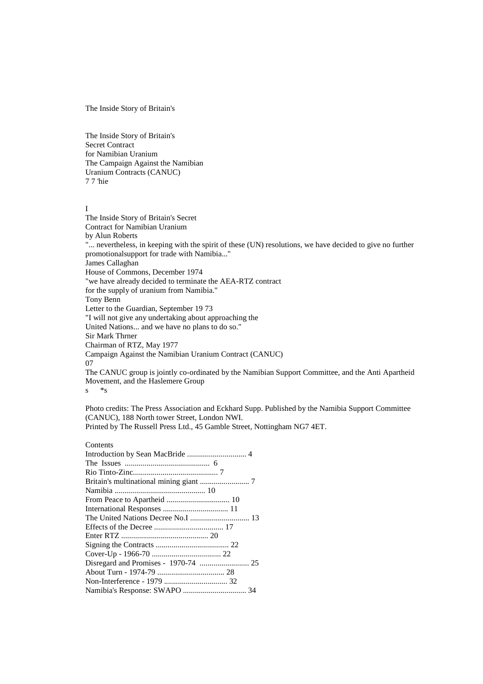The Inside Story of Britain's

The Inside Story of Britain's Secret Contract for Namibian Uranium The Campaign Against the Namibian Uranium Contracts (CANUC) 7 7 'hie

## I

The Inside Story of Britain's Secret Contract for Namibian Uranium by Alun Roberts "... nevertheless, in keeping with the spirit of these (UN) resolutions, we have decided to give no further promotionalsupport for trade with Namibia..." James Callaghan House of Commons, December 1974 "we have already decided to terminate the AEA-RTZ contract for the supply of uranium from Namibia." Tony Benn Letter to the Guardian, September 19 73 "I will not give any undertaking about approaching the United Nations... and we have no plans to do so." Sir Mark Thrner Chairman of RTZ, May 1977 Campaign Against the Namibian Uranium Contract (CANUC) 07 The CANUC group is jointly co-ordinated by the Namibian Support Committee, and the Anti Apartheid Movement, and the Haslemere Group s \*s

Photo credits: The Press Association and Eckhard Supp. Published by the Namibia Support Committee (CANUC), 188 North tower Street, London NWI. Printed by The Russell Press Ltd., 45 Gamble Street, Nottingham NG7 4ET.

# **Contents**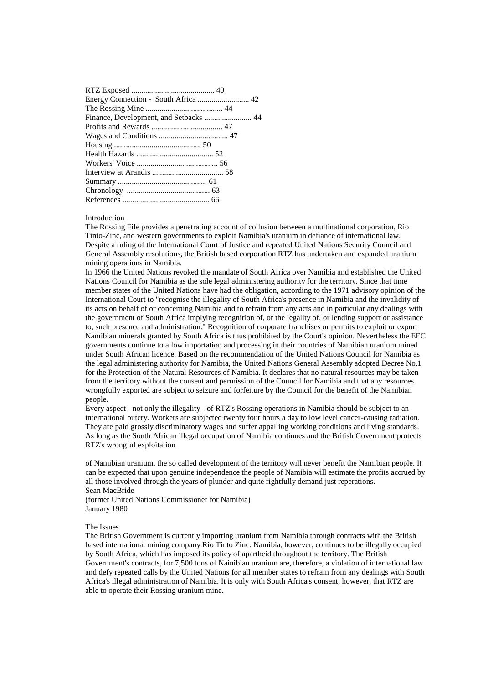| Energy Connection - South Africa  42 |
|--------------------------------------|
|                                      |
|                                      |
|                                      |
|                                      |
|                                      |
|                                      |
|                                      |
|                                      |
|                                      |
|                                      |
|                                      |

## Introduction

The Rossing File provides a penetrating account of collusion between a multinational corporation, Rio Tinto-Zinc, and western governments to exploit Namibia's uranium in defiance of international law. Despite a ruling of the International Court of Justice and repeated United Nations Security Council and General Assembly resolutions, the British based corporation RTZ has undertaken and expanded uranium mining operations in Namibia.

In 1966 the United Nations revoked the mandate of South Africa over Namibia and established the United Nations Council for Namibia as the sole legal administering authority for the territory. Since that time member states of the United Nations have had the obligation, according to the 1971 advisory opinion of the International Court to "recognise the illegality of South Africa's presence in Namibia and the invalidity of its acts on behalf of or concerning Namibia and to refrain from any acts and in particular any dealings with the government of South Africa implying recognition of, or the legality of, or lending support or assistance to, such presence and administration." Recognition of corporate franchises or permits to exploit or export Namibian minerals granted by South Africa is thus prohibited by the Court's opinion. Nevertheless the EEC governments continue to allow importation and processing in their countries of Namibian uranium mined under South African licence. Based on the recommendation of the United Nations Council for Namibia as the legal administering authority for Namibia, the United Nations General Assembly adopted Decree No.1 for the Protection of the Natural Resources of Namibia. It declares that no natural resources may be taken from the territory without the consent and permission of the Council for Namibia and that any resources wrongfully exported are subject to seizure and forfeiture by the Council for the benefit of the Namibian people.

Every aspect - not only the illegality - of RTZ's Rossing operations in Namibia should be subject to an international outcry. Workers are subjected twenty four hours a day to low level cancer-causing radiation. They are paid grossly discriminatory wages and suffer appalling working conditions and living standards. As long as the South African illegal occupation of Namibia continues and the British Government protects RTZ's wrongful exploitation

of Namibian uranium, the so called development of the territory will never benefit the Namibian people. It can be expected that upon genuine independence the people of Namibia will estimate the profits accrued by all those involved through the years of plunder and quite rightfully demand just reperations. Sean MacBride

(former United Nations Commissioner for Namibia) January 1980

### The Issues

The British Government is currently importing uranium from Namibia through contracts with the British based international mining company Rio Tinto Zinc. Namibia, however, continues to be illegally occupied by South Africa, which has imposed its policy of apartheid throughout the territory. The British Government's contracts, for 7,500 tons of Nainibian uranium are, therefore, a violation of international law and defy repeated calls by the United Nations for all member states to refrain from any dealings with South Africa's illegal administration of Namibia. It is only with South Africa's consent, however, that RTZ are able to operate their Rossing uranium mine.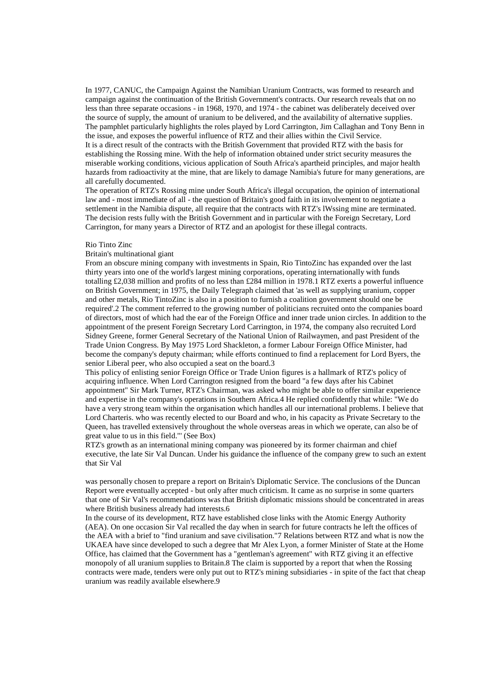In 1977, CANUC, the Campaign Against the Namibian Uranium Contracts, was formed to research and campaign against the continuation of the British Government's contracts. Our research reveals that on no less than three separate occasions - in 1968, 1970, and 1974 - the cabinet was deliberately deceived over the source of supply, the amount of uranium to be delivered, and the availability of alternative supplies. The pamphlet particularly highlights the roles played by Lord Carrington, Jim Callaghan and Tony Benn in the issue, and exposes the powerful influence of RTZ and their allies within the Civil Service. It is a direct result of the contracts with the British Government that provided RTZ with the basis for establishing the Rossing mine. With the help of information obtained under strict security measures the miserable working conditions, vicious application of South Africa's apartheid principles, and major health hazards from radioactivity at the mine, that are likely to damage Namibia's future for many generations, are all carefully documented.

The operation of RTZ's Rossing mine under South Africa's illegal occupation, the opinion of international law and - most immediate of all - the question of Britain's good faith in its involvement to negotiate a settlement in the Namibia dispute, all require that the contracts with RTZ's lWssing mine are terminated. The decision rests fully with the British Government and in particular with the Foreign Secretary, Lord Carrington, for many years a Director of RTZ and an apologist for these illegal contracts.

# Rio Tinto Zinc

# Britain's multinational giant

From an obscure mining company with investments in Spain, Rio TintoZinc has expanded over the last thirty years into one of the world's largest mining corporations, operating internationally with funds totalling £2,038 million and profits of no less than £284 million in 1978.1 RTZ exerts a powerful influence on British Government; in 1975, the Daily Telegraph claimed that 'as well as supplying uranium, copper and other metals, Rio TintoZinc is also in a position to furnish a coalition government should one be required'.2 The comment referred to the growing number of politicians recruited onto the companies board of directors, most of which had the ear of the Foreign Office and inner trade union circles. In addition to the appointment of the present Foreign Secretary Lord Carrington, in 1974, the company also recruited Lord Sidney Greene, former General Secretary of the National Union of Railwaymen, and past President of the Trade Union Congress. By May 1975 Lord Shackleton, a former Labour Foreign Office Minister, had become the company's deputy chairman; while efforts continued to find a replacement for Lord Byers, the senior Liberal peer, who also occupied a seat on the board.3

This policy of enlisting senior Foreign Office or Trade Union figures is a hallmark of RTZ's policy of acquiring influence. When Lord Carrington resigned from the board "a few days after his Cabinet appointment" Sir Mark Turner, RTZ's Chairman, was asked who might be able to offer similar experience and expertise in the company's operations in Southern Africa.4 He replied confidently that while: "We do have a very strong team within the organisation which handles all our international problems. I believe that Lord Charteris. who was recently elected to our Board and who, in his capacity as Private Secretary to the Queen, has travelled extensively throughout the whole overseas areas in which we operate, can also be of great value to us in this field."' (See Box)

RTZ's growth as an international mining company was pioneered by its former chairman and chief executive, the late Sir Val Duncan. Under his guidance the influence of the company grew to such an extent that Sir Val

was personally chosen to prepare a report on Britain's Diplomatic Service. The conclusions of the Duncan Report were eventually accepted - but only after much criticism. It came as no surprise in some quarters that one of Sir Val's recommendations was that British diplomatic missions should be concentrated in areas where British business already had interests.6

In the course of its development, RTZ have established close links with the Atomic Energy Authority (AEA). On one occasion Sir Val recalled the day when in search for future contracts he left the offices of the AEA with a brief to "find uranium and save civilisation."7 Relations between RTZ and what is now the UKAEA have since developed to such a degree that Mr Alex Lyon, a former Minister of State at the Home Office, has claimed that the Government has a "gentleman's agreement" with RTZ giving it an effective monopoly of all uranium supplies to Britain.8 The claim is supported by a report that when the Rossing contracts were made, tenders were only put out to RTZ's mining subsidiaries - in spite of the fact that cheap uranium was readily available elsewhere.9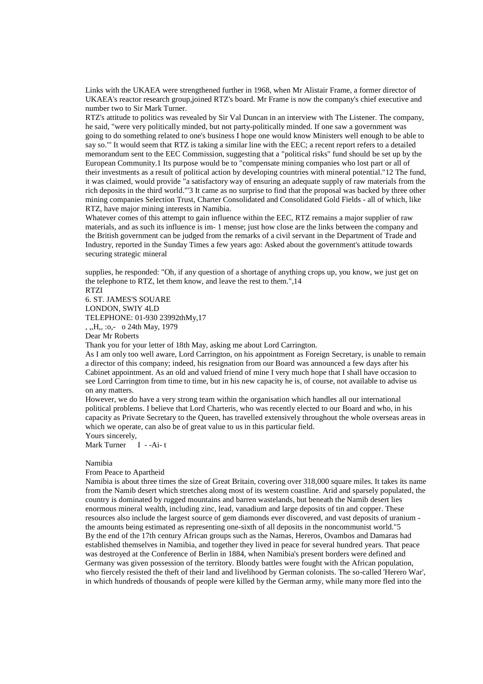Links with the UKAEA were strengthened further in 1968, when Mr Alistair Frame, a former director of UKAEA's reactor research group,joined RTZ's board. Mr Frame is now the company's chief executive and number two to Sir Mark Turner.

RTZ's attitude to politics was revealed by Sir Val Duncan in an interview with The Listener. The company, he said, "were very politically minded, but not party-politically minded. If one saw a government was going to do something related to one's business I hope one would know Ministers well enough to be able to say so."' It would seem that RTZ is taking a similar line with the EEC; a recent report refers to a detailed memorandum sent to the EEC Commission, suggesting that a "political risks" fund should be set up by the European Community.1 Its purpose would be to "compensate mining companies who lost part or all of their investments as a result of political action by developing countries with mineral potential."12 The fund, it was claimed, would provide "a satisfactory way of ensuring an adequate supply of raw materials from the rich deposits in the third world."'3 It came as no surprise to find that the proposal was backed by three other mining companies Selection Trust, Charter Consolidated and Consolidated Gold Fields - all of which, like RTZ, have major mining interests in Namibia.

Whatever comes of this attempt to gain influence within the EEC, RTZ remains a major supplier of raw materials, and as such its influence is im- 1 mense; just how close are the links between the company and the British government can be judged from the remarks of a civil servant in the Department of Trade and Industry, reported in the Sunday Times a few years ago: Asked about the government's attitude towards securing strategic mineral

supplies, he responded: "Oh, if any question of a shortage of anything crops up, you know, we just get on the telephone to RTZ, let them know, and leave the rest to them.",14

RTZI 6. ST. JAMES'S SOUARE LONDON, SWIY 4LD TELEPHONE: 01-930 23992thMy,17 , ,,H,, :o,- o 24th May, 1979

Dear Mr Roberts

Thank you for your letter of 18th May, asking me about Lord Carrington.

As I am only too well aware, Lord Carrington, on his appointment as Foreign Secretary, is unable to remain a director of this company; indeed, his resignation from our Board was announced a few days after his Cabinet appointment. As an old and valued friend of mine I very much hope that I shall have occasion to see Lord Carrington from time to time, but in his new capacity he is, of course, not available to advise us on any matters.

However, we do have a very strong team within the organisation which handles all our international political problems. I believe that Lord Charteris, who was recently elected to our Board and who, in his capacity as Private Secretary to the Queen, has travelled extensively throughout the whole overseas areas in which we operate, can also be of great value to us in this particular field.

Yours sincerely,

Mark Turner I --Ai-t

#### Namibia

#### From Peace to Apartheid

Namibia is about three times the size of Great Britain, covering over 318,000 square miles. It takes its name from the Namib desert which stretches along most of its western coastline. Arid and sparsely populated, the country is dominated by rugged mountains and barren wastelands, but beneath the Namib desert lies enormous mineral wealth, including zinc, lead, vanadium and large deposits of tin and copper. These resources also include the largest source of gem diamonds ever discovered, and vast deposits of uranium the amounts being estimated as representing one-sixth of all deposits in the noncommunist world."5 By the end of the 17th century African groups such as the Namas, Hereros, Ovambos and Damaras had established themselves in Namibia, and together they lived in peace for several hundred years. That peace was destroyed at the Conference of Berlin in 1884, when Namibia's present borders were defined and Germany was given possession of the territory. Bloody battles were fought with the African population, who fiercely resisted the theft of their land and livelihood by German colonists. The so-called 'Herero War', in which hundreds of thousands of people were killed by the German army, while many more fled into the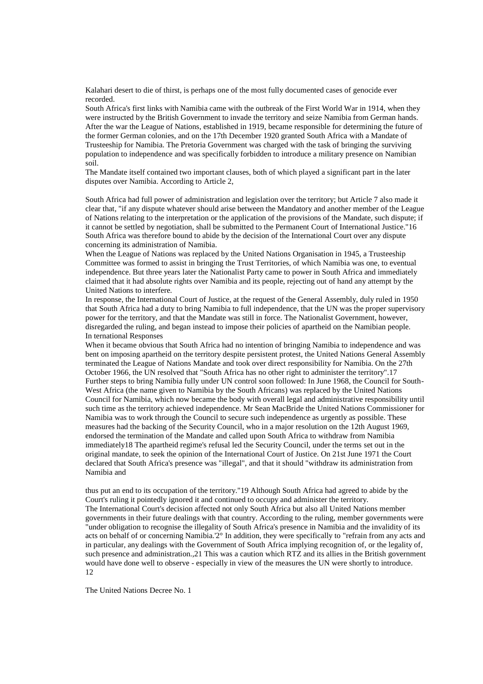Kalahari desert to die of thirst, is perhaps one of the most fully documented cases of genocide ever recorded.

South Africa's first links with Namibia came with the outbreak of the First World War in 1914, when they were instructed by the British Government to invade the territory and seize Namibia from German hands. After the war the League of Nations, established in 1919, became responsible for determining the future of the former German colonies, and on the 17th December 1920 granted South Africa with a Mandate of Trusteeship for Namibia. The Pretoria Government was charged with the task of bringing the surviving population to independence and was specifically forbidden to introduce a military presence on Namibian soil.

The Mandate itself contained two important clauses, both of which played a significant part in the later disputes over Namibia. According to Article 2,

South Africa had full power of administration and legislation over the territory; but Article 7 also made it clear that, "if any dispute whatever should arise between the Mandatory and another member of the League of Nations relating to the interpretation or the application of the provisions of the Mandate, such dispute; if it cannot be settled by negotiation, shall be submitted to the Permanent Court of International Justice."16 South Africa was therefore bound to abide by the decision of the International Court over any dispute concerning its administration of Namibia.

When the League of Nations was replaced by the United Nations Organisation in 1945, a Trusteeship Committee was formed to assist in bringing the Trust Territories, of which Namibia was one, to eventual independence. But three years later the Nationalist Party came to power in South Africa and immediately claimed that it had absolute rights over Namibia and its people, rejecting out of hand any attempt by the United Nations to interfere.

In response, the International Court of Justice, at the request of the General Assembly, duly ruled in 1950 that South Africa had a duty to bring Namibia to full independence, that the UN was the proper supervisory power for the territory, and that the Mandate was still in force. The Nationalist Government, however, disregarded the ruling, and began instead to impose their policies of apartheid on the Namibian people. In ternational Responses

When it became obvious that South Africa had no intention of bringing Namibia to independence and was bent on imposing apartheid on the territory despite persistent protest, the United Nations General Assembly terminated the League of Nations Mandate and took over direct responsibility for Namibia. On the 27th October 1966, the UN resolved that "South Africa has no other right to administer the territory".17 Further steps to bring Namibia fully under UN control soon followed: In June 1968, the Council for South-West Africa (the name given to Namibia by the South Africans) was replaced by the United Nations Council for Namibia, which now became the body with overall legal and administrative responsibility until such time as the territory achieved independence. Mr Sean MacBride the United Nations Commissioner for Namibia was to work through the Council to secure such independence as urgently as possible. These measures had the backing of the Security Council, who in a major resolution on the 12th August 1969, endorsed the termination of the Mandate and called upon South Africa to withdraw from Namibia immediately18 The apartheid regime's refusal led the Security Council, under the terms set out in the original mandate, to seek the opinion of the International Court of Justice. On 21st June 1971 the Court declared that South Africa's presence was "illegal", and that it should "withdraw its administration from Namibia and

thus put an end to its occupation of the territory."19 Although South Africa had agreed to abide by the Court's ruling it pointedly ignored it and continued to occupy and administer the territory. The International Court's decision affected not only South Africa but also all United Nations member governments in their future dealings with that country. According to the ruling, member governments were "under obligation to recognise the illegality of South Africa's presence in Namibia and the invalidity of its acts on behalf of or concerning Namibia.'2° In addition, they were specifically to "refrain from any acts and in particular, any dealings with the Government of South Africa implying recognition of, or the legality of, such presence and administration.,21 This was a caution which RTZ and its allies in the British government would have done well to observe - especially in view of the measures the UN were shortly to introduce. 12

The United Nations Decree No. 1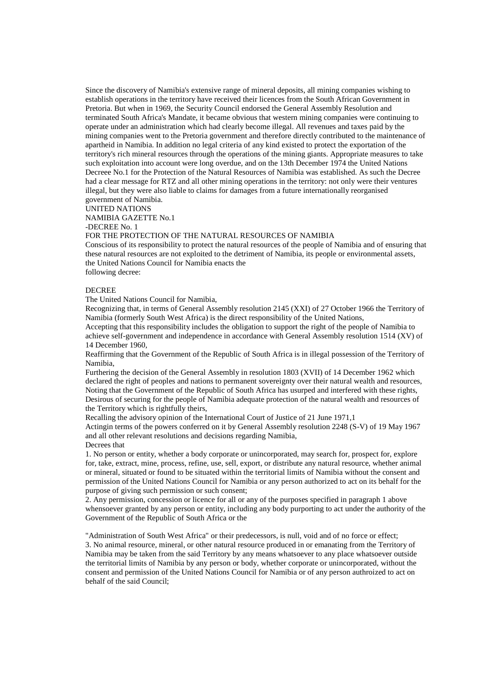Since the discovery of Namibia's extensive range of mineral deposits, all mining companies wishing to establish operations in the territory have received their licences from the South African Government in Pretoria. But when in 1969, the Security Council endorsed the General Assembly Resolution and terminated South Africa's Mandate, it became obvious that western mining companies were continuing to operate under an administration which had clearly become illegal. All revenues and taxes paid by the mining companies went to the Pretoria government and therefore directly contributed to the maintenance of apartheid in Namibia. In addition no legal criteria of any kind existed to protect the exportation of the territory's rich mineral resources through the operations of the mining giants. Appropriate measures to take such exploitation into account were long overdue, and on the 13th December 1974 the United Nations Decreee No.1 for the Protection of the Natural Resources of Namibia was established. As such the Decree had a clear message for RTZ and all other mining operations in the territory: not only were their ventures illegal, but they were also liable to claims for damages from a future internationally reorganised government of Namibia.

UNITED NATIONS

NAMIBIA GAZETTE No.1

-DECREE No. 1

FOR THE PROTECTION OF THE NATURAL RESOURCES OF NAMIBIA

Conscious of its responsibility to protect the natural resources of the people of Namibia and of ensuring that these natural resources are not exploited to the detriment of Namibia, its people or environmental assets, the United Nations Council for Namibia enacts the following decree:

# DECREE

The United Nations Council for Namibia,

Recognizing that, in terms of General Assembly resolution 2145 (XXI) of 27 October 1966 the Territory of Namibia (formerly South West Africa) is the direct responsibility of the United Nations,

Accepting that this responsibility includes the obligation to support the right of the people of Namibia to achieve self-government and independence in accordance with General Assembly resolution 1514 (XV) of 14 December 1960,

Reaffirming that the Government of the Republic of South Africa is in illegal possession of the Territory of Namibia,

Furthering the decision of the General Assembly in resolution 1803 (XVII) of 14 December 1962 which declared the right of peoples and nations to permanent sovereignty over their natural wealth and resources, Noting that the Government of the Republic of South Africa has usurped and interfered with these rights, Desirous of securing for the people of Namibia adequate protection of the natural wealth and resources of the Territory which is rightfully theirs,

Recalling the advisory opinion of the International Court of Justice of 21 June 1971,1

Actingin terms of the powers conferred on it by General Assembly resolution 2248 (S-V) of 19 May 1967 and all other relevant resolutions and decisions regarding Namibia,

Decrees that

1. No person or entity, whether a body corporate or unincorporated, may search for, prospect for, explore for, take, extract, mine, process, refine, use, sell, export, or distribute any natural resource, whether animal or mineral, situated or found to be situated within the territorial limits of Namibia without the consent and permission of the United Nations Council for Namibia or any person authorized to act on its behalf for the purpose of giving such permission or such consent;

2. Any permission, concession or licence for all or any of the purposes specified in paragraph 1 above whensoever granted by any person or entity, including any body purporting to act under the authority of the Government of the Republic of South Africa or the

"Administration of South West Africa" or their predecessors, is null, void and of no force or effect; 3. No animal resource, mineral, or other natural resource produced in or emanating from the Territory of Namibia may be taken from the said Territory by any means whatsoever to any place whatsoever outside the territorial limits of Namibia by any person or body, whether corporate or unincorporated, without the consent and permission of the United Nations Council for Namibia or of any person authroized to act on behalf of the said Council;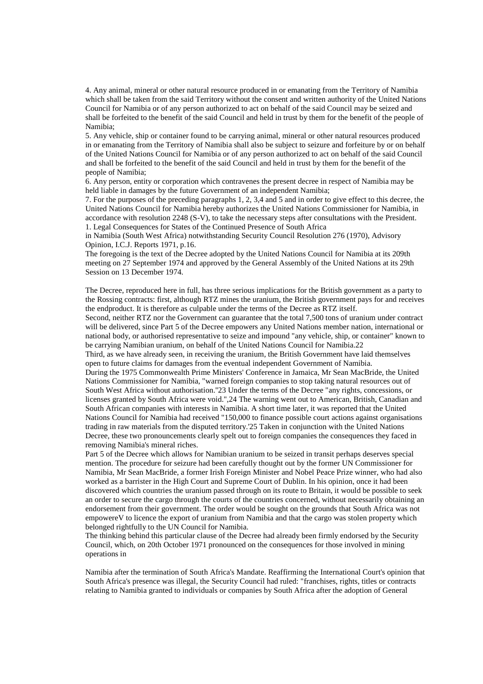4. Any animal, mineral or other natural resource produced in or emanating from the Territory of Namibia which shall be taken from the said Territory without the consent and written authority of the United Nations Council for Namibia or of any person authorized to act on behalf of the said Council may be seized and shall be forfeited to the benefit of the said Council and held in trust by them for the benefit of the people of Namibia;

5. Any vehicle, ship or container found to be carrying animal, mineral or other natural resources produced in or emanating from the Territory of Namibia shall also be subject to seizure and forfeiture by or on behalf of the United Nations Council for Namibia or of any person authorized to act on behalf of the said Council and shall be forfeited to the benefit of the said Council and held in trust by them for the benefit of the people of Namibia;

6. Any person, entity or corporation which contravenes the present decree in respect of Namibia may be held liable in damages by the future Government of an independent Namibia;

7. For the purposes of the preceding paragraphs 1, 2, 3,4 and 5 and in order to give effect to this decree, the United Nations Council for Namibia hereby authorizes the United Nations Commissioner for Namibia, in accordance with resolution 2248 (S-V), to take the necessary steps after consultations with the President. 1. Legal Consequences for States of the Continued Presence of South Africa

in Namibia (South West Africa) notwithstanding Security Council Resolution 276 (1970), Advisory Opinion, I.C.J. Reports 1971, p.16.

The foregoing is the text of the Decree adopted by the United Nations Council for Namibia at its 209th meeting on 27 September 1974 and approved by the General Assembly of the United Nations at its 29th Session on 13 December 1974.

The Decree, reproduced here in full, has three serious implications for the British government as a party to the Rossing contracts: first, although RTZ mines the uranium, the British government pays for and receives the endproduct. It is therefore as culpable under the terms of the Decree as RTZ itself.

Second, neither RTZ nor the Government can guarantee that the total 7,500 tons of uranium under contract will be delivered, since Part 5 of the Decree empowers any United Nations member nation, international or national body, or authorised representative to seize and impound "any vehicle, ship, or container" known to be carrying Namibian uranium, on behalf of the United Nations Council for Namibia.22

Third, as we have already seen, in receiving the uranium, the British Government have laid themselves open to future claims for damages from the eventual independent Government of Namibia.

During the 1975 Commonwealth Prime Ministers' Conference in Jamaica, Mr Sean MacBride, the United Nations Commissioner for Namibia, "warned foreign companies to stop taking natural resources out of South West Africa without authorisation.''23 Under the terms of the Decree "any rights, concessions, or licenses granted by South Africa were void.",24 The warning went out to American, British, Canadian and South African companies with interests in Namibia. A short time later, it was reported that the United Nations Council for Namibia had received "150,000 to finance possible court actions against organisations trading in raw materials from the disputed territory.'25 Taken in conjunction with the United Nations Decree, these two pronouncements clearly spelt out to foreign companies the consequences they faced in removing Namibia's mineral riches.

Part 5 of the Decree which allows for Namibian uranium to be seized in transit perhaps deserves special mention. The procedure for seizure had been carefully thought out by the former UN Commissioner for Namibia, Mr Sean MacBride, a former Irish Foreign Minister and Nobel Peace Prize winner, who had also worked as a barrister in the High Court and Supreme Court of Dublin. In his opinion, once it had been discovered which countries the uranium passed through on its route to Britain, it would be possible to seek an order to secure the cargo through the courts of the countries concerned, without necessarily obtaining an endorsement from their government. The order would be sought on the grounds that South Africa was not empowereV to licence the export of uranium from Namibia and that the cargo was stolen property which belonged rightfully to the UN Council for Namibia.

The thinking behind this particular clause of the Decree had already been firmly endorsed by the Security Council, which, on 20th October 1971 pronounced on the consequences for those involved in mining operations in

Namibia after the termination of South Africa's Mandate. Reaffirming the International Court's opinion that South Africa's presence was illegal, the Security Council had ruled: "franchises, rights, titles or contracts relating to Namibia granted to individuals or companies by South Africa after the adoption of General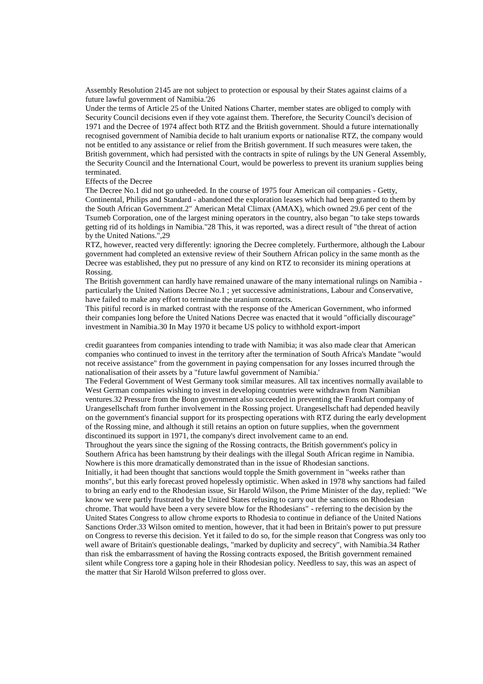Assembly Resolution 2145 are not subject to protection or espousal by their States against claims of a future lawful government of Namibia.'26

Under the terms of Article 25 of the United Nations Charter, member states are obliged to comply with Security Council decisions even if they vote against them. Therefore, the Security Council's decision of 1971 and the Decree of 1974 affect both RTZ and the British government. Should a future internationally recognised government of Namibia decide to halt uranium exports or nationalise RTZ, the company would not be entitled to any assistance or relief from the British government. If such measures were taken, the British government, which had persisted with the contracts in spite of rulings by the UN General Assembly, the Security Council and the International Court, would be powerless to prevent its uranium supplies being terminated.

Effects of the Decree

The Decree No.1 did not go unheeded. In the course of 1975 four American oil companies - Getty, Continental, Philips and Standard - abandoned the exploration leases which had been granted to them by the South African Government.2" American Metal Climax (AMAX), which owned 29.6 per cent of the Tsumeb Corporation, one of the largest mining operators in the country, also began "to take steps towards getting rid of its holdings in Namibia."28 This, it was reported, was a direct result of "the threat of action by the United Nations.",29

RTZ, however, reacted very differently: ignoring the Decree completely. Furthermore, although the Labour government had completed an extensive review of their Southern African policy in the same month as the Decree was established, they put no pressure of any kind on RTZ to reconsider its mining operations at Rossing.

The British government can hardly have remained unaware of the many international rulings on Namibia particularly the United Nations Decree No.1 ; yet successive administrations, Labour and Conservative, have failed to make any effort to terminate the uranium contracts.

This pitiful record is in marked contrast with the response of the American Government, who informed their companies long before the United Nations Decree was enacted that it would "officially discourage" investment in Namibia.30 In May 1970 it became US policy to withhold export-import

credit guarantees from companies intending to trade with Namibia; it was also made clear that American companies who continued to invest in the territory after the termination of South Africa's Mandate "would not receive assistance" from the government in paying compensation for any losses incurred through the nationalisation of their assets by a "future lawful government of Namibia.'

The Federal Government of West Germany took similar measures. All tax incentives normally available to West German companies wishing to invest in developing countries were withdrawn from Namibian ventures.32 Pressure from the Bonn government also succeeded in preventing the Frankfurt company of Urangesellschaft from further involvement in the Rossing project. Urangesellschaft had depended heavily on the government's financial support for its prospecting operations with RTZ during the early development of the Rossing mine, and although it still retains an option on future supplies, when the government discontinued its support in 1971, the company's direct involvement came to an end.

Throughout the years since the signing of the Rossing contracts, the British government's policy in Southern Africa has been hamstrung by their dealings with the illegal South African regime in Namibia. Nowhere is this more dramatically demonstrated than in the issue of Rhodesian sanctions.

Initially, it had been thought that sanctions would topple the Smith government in "weeks rather than months", but this early forecast proved hopelessly optimistic. When asked in 1978 why sanctions had failed to bring an early end to the Rhodesian issue, Sir Harold Wilson, the Prime Minister of the day, replied: "We know we were partly frustrated by the United States refusing to carry out the sanctions on Rhodesian chrome. That would have been a very severe blow for the Rhodesians" - referring to the decision by the United States Congress to allow chrome exports to Rhodesia to continue in defiance of the United Nations Sanctions Order.33 Wilson omited to mention, however, that it had been in Britain's power to put pressure on Congress to reverse this decision. Yet it failed to do so, for the simple reason that Congress was only too well aware of Britain's questionable dealings, "marked by duplicity and secrecy", with Namibia.34 Rather than risk the embarrassment of having the Rossing contracts exposed, the British government remained silent while Congress tore a gaping hole in their Rhodesian policy. Needless to say, this was an aspect of the matter that Sir Harold Wilson preferred to gloss over.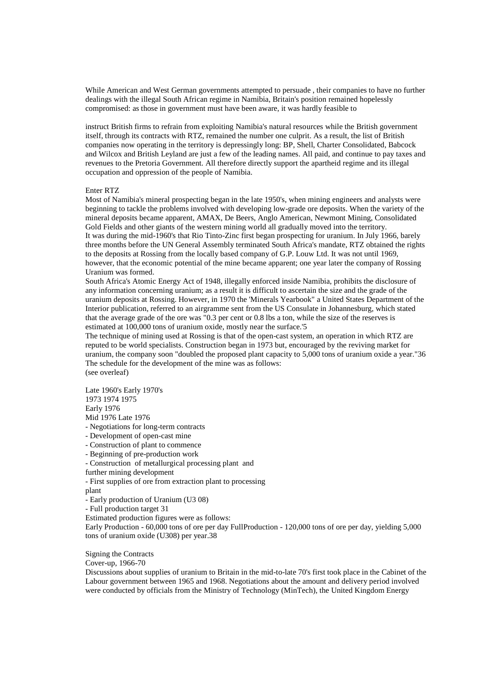While American and West German governments attempted to persuade , their companies to have no further dealings with the illegal South African regime in Namibia, Britain's position remained hopelessly compromised: as those in government must have been aware, it was hardly feasible to

instruct British firms to refrain from exploiting Namibia's natural resources while the British government itself, through its contracts with RTZ, remained the number one culprit. As a result, the list of British companies now operating in the territory is depressingly long: BP, Shell, Charter Consolidated, Babcock and Wilcox and British Leyland are just a few of the leading names. All paid, and continue to pay taxes and revenues to the Pretoria Government. All therefore directly support the apartheid regime and its illegal occupation and oppression of the people of Namibia.

# Enter RTZ

Most of Namibia's mineral prospecting began in the late 1950's, when mining engineers and analysts were beginning to tackle the problems involved with developing low-grade ore deposits. When the variety of the mineral deposits became apparent, AMAX, De Beers, Anglo American, Newmont Mining, Consolidated Gold Fields and other giants of the western mining world all gradually moved into the territory. It was during the mid-1960's that Rio Tinto-Zinc first began prospecting for uranium. In July 1966, barely three months before the UN General Assembly terminated South Africa's mandate, RTZ obtained the rights to the deposits at Rossing from the locally based company of G.P. Louw Ltd. It was not until 1969, however, that the economic potential of the mine became apparent; one year later the company of Rossing Uranium was formed.

South Africa's Atomic Energy Act of 1948, illegally enforced inside Namibia, prohibits the disclosure of any information concerning uranium; as a result it is difficult to ascertain the size and the grade of the uranium deposits at Rossing. However, in 1970 the 'Minerals Yearbook" a United States Department of the Interior publication, referred to an airgramme sent from the US Consulate in Johannesburg, which stated that the average grade of the ore was "0.3 per cent or 0.8 lbs a ton, while the size of the reserves is estimated at 100,000 tons of uranium oxide, mostly near the surface.'5

The technique of mining used at Rossing is that of the open-cast system, an operation in which RTZ are reputed to be world specialists. Construction began in 1973 but, encouraged by the reviving market for uranium, the company soon "doubled the proposed plant capacity to 5,000 tons of uranium oxide a year."36 The schedule for the development of the mine was as follows: (see overleaf)

Late 1960's Early 1970's 1973 1974 1975 Early 1976 Mid 1976 Late 1976 - Negotiations for long-term contracts

- Development of open-cast mine
- Construction of plant to commence
- Beginning of pre-production work
- Construction of metallurgical processing plant and
- further mining development
- First supplies of ore from extraction plant to processing

plant

- Early production of Uranium (U3 08)
- Full production target 31
- Estimated production figures were as follows:

Early Production - 60,000 tons of ore per day FullProduction - 120,000 tons of ore per day, yielding 5,000 tons of uranium oxide (U308) per year.38

Signing the Contracts

Cover-up, 1966-70

Discussions about supplies of uranium to Britain in the mid-to-late 70's first took place in the Cabinet of the Labour government between 1965 and 1968. Negotiations about the amount and delivery period involved were conducted by officials from the Ministry of Technology (MinTech), the United Kingdom Energy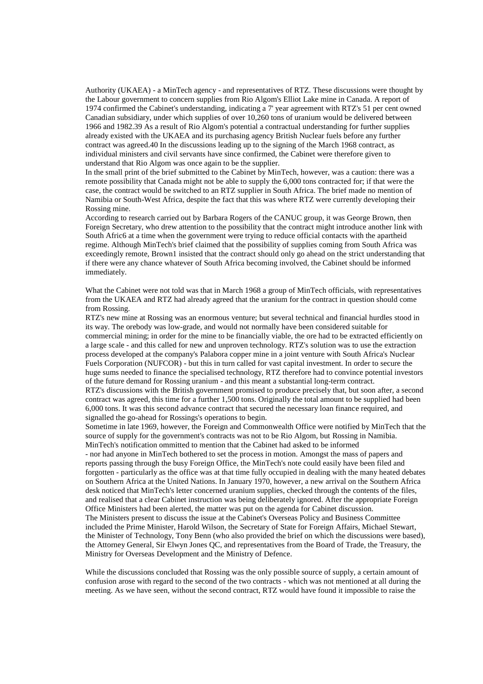Authority (UKAEA) - a MinTech agency - and representatives of RTZ. These discussions were thought by the Labour government to concern supplies from Rio Algom's Elliot Lake mine in Canada. A report of 1974 confirmed the Cabinet's understanding, indicating a 7' year agreement with RTZ's 51 per cent owned Canadian subsidiary, under which supplies of over 10,260 tons of uranium would be delivered between 1966 and 1982.39 As a result of Rio Algom's potential a contractual understanding for further supplies already existed with the UKAEA and its purchasing agency British Nuclear fuels before any further contract was agreed.40 In the discussions leading up to the signing of the March 1968 contract, as individual ministers and civil servants have since confirmed, the Cabinet were therefore given to understand that Rio Algom was once again to be the supplier.

In the small print of the brief submitted to the Cabinet by MinTech, however, was a caution: there was a remote possibility that Canada might not be able to supply the 6,000 tons contracted for; if that were the case, the contract would be switched to an RTZ supplier in South Africa. The brief made no mention of Namibia or South-West Africa, despite the fact that this was where RTZ were currently developing their Rossing mine.

According to research carried out by Barbara Rogers of the CANUC group, it was George Brown, then Foreign Secretary, who drew attention to the possibility that the contract might introduce another link with South Afric6 at a time when the government were trying to reduce official contacts with the apartheid regime. Although MinTech's brief claimed that the possibility of supplies coming from South Africa was exceedingly remote, Brown1 insisted that the contract should only go ahead on the strict understanding that if there were any chance whatever of South Africa becoming involved, the Cabinet should be informed immediately.

What the Cabinet were not told was that in March 1968 a group of MinTech officials, with representatives from the UKAEA and RTZ had already agreed that the uranium for the contract in question should come from Rossing.

RTZ's new mine at Rossing was an enormous venture; but several technical and financial hurdles stood in its way. The orebody was low-grade, and would not normally have been considered suitable for commercial mining; in order for the mine to be financially viable, the ore had to be extracted efficiently on a large scale - and this called for new and unproven technology. RTZ's solution was to use the extraction process developed at the company's Palabora copper mine in a joint venture with South Africa's Nuclear Fuels Corporation (NUFCOR) - but this in turn called for vast capital investment. In order to secure the huge sums needed to finance the specialised technology, RTZ therefore had to convince potential investors of the future demand for Rossing uranium - and this meant a substantial long-term contract. RTZ's discussions with the British government promised to produce precisely that, but soon after, a second

contract was agreed, this time for a further 1,500 tons. Originally the total amount to be supplied had been 6,000 tons. It was this second advance contract that secured the necessary loan finance required, and signalled the go-ahead for Rossings's operations to begin.

Sometime in late 1969, however, the Foreign and Commonwealth Office were notified by MinTech that the source of supply for the government's contracts was not to be Rio Algom, but Rossing in Namibia. MinTech's notification ommitted to mention that the Cabinet had asked to be informed

- nor had anyone in MinTech bothered to set the process in motion. Amongst the mass of papers and reports passing through the busy Foreign Office, the MinTech's note could easily have been filed and forgotten - particularly as the office was at that time fully occupied in dealing with the many heated debates on Southern Africa at the United Nations. In January 1970, however, a new arrival on the Southern Africa desk noticed that MinTech's letter concerned uranium supplies, checked through the contents of the files, and realised that a clear Cabinet instruction was being deliberately ignored. After the appropriate Foreign Office Ministers had been alerted, the matter was put on the agenda for Cabinet discussion. The Ministers present to discuss the issue at the Cabinet's Overseas Policy and Business Committee included the Prime Minister, Harold Wilson, the Secretary of State for Foreign Affairs, Michael Stewart, the Minister of Technology, Tony Benn (who also provided the brief on which the discussions were based), the Attorney General, Sir Elwyn Jones QC, and representatives from the Board of Trade, the Treasury, the Ministry for Overseas Development and the Ministry of Defence.

While the discussions concluded that Rossing was the only possible source of supply, a certain amount of confusion arose with regard to the second of the two contracts - which was not mentioned at all during the meeting. As we have seen, without the second contract, RTZ would have found it impossible to raise the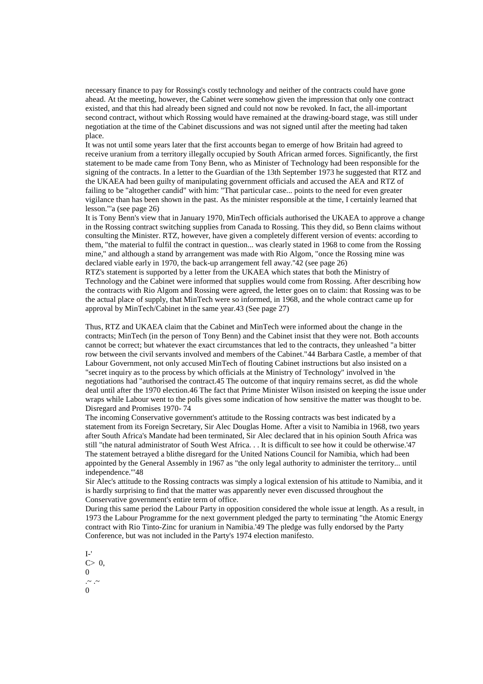necessary finance to pay for Rossing's costly technology and neither of the contracts could have gone ahead. At the meeting, however, the Cabinet were somehow given the impression that only one contract existed, and that this had already been signed and could not now be revoked. In fact, the all-important second contract, without which Rossing would have remained at the drawing-board stage, was still under negotiation at the time of the Cabinet discussions and was not signed until after the meeting had taken place.

It was not until some years later that the first accounts began to emerge of how Britain had agreed to receive uranium from a territory illegally occupied by South African armed forces. Significantly, the first statement to be made came from Tony Benn, who as Minister of Technology had been responsible for the signing of the contracts. In a letter to the Guardian of the 13th September 1973 he suggested that RTZ and the UKAEA had been guilty of manipulating government officials and accused the AEA and RTZ of failing to be "altogether candid" with him: "That particular case... points to the need for even greater vigilance than has been shown in the past. As the minister responsible at the time, I certainly learned that lesson."'a (see page 26)

It is Tony Benn's view that in January 1970, MinTech officials authorised the UKAEA to approve a change in the Rossing contract switching supplies from Canada to Rossing. This they did, so Benn claims without consulting the Minister. RTZ, however, have given a completely different version of events: according to them, "the material to fulfil the contract in question... was clearly stated in 1968 to come from the Rossing mine," and although a stand by arrangement was made with Rio Algom, "once the Rossing mine was declared viable early in 1970, the back-up arrangement fell away.''42 (see page 26)

RTZ's statement is supported by a letter from the UKAEA which states that both the Ministry of Technology and the Cabinet were informed that supplies would come from Rossing. After describing how the contracts with Rio Algom and Rossing were agreed, the letter goes on to claim: that Rossing was to be the actual place of supply, that MinTech were so informed, in 1968, and the whole contract came up for approval by MinTech/Cabinet in the same year.43 (See page 27)

Thus, RTZ and UKAEA claim that the Cabinet and MinTech were informed about the change in the contracts; MinTech (in the person of Tony Benn) and the Cabinet insist that they were not. Both accounts cannot be correct; but whatever the exact circumstances that led to the contracts, they unleashed "a bitter row between the civil servants involved and members of the Cabinet."44 Barbara Castle, a member of that Labour Government, not only accused MinTech of flouting Cabinet instructions but also insisted on a "secret inquiry as to the process by which officials at the Ministry of Technology" involved in 'the negotiations had "authorised the contract.45 The outcome of that inquiry remains secret, as did the whole deal until after the 1970 election.46 The fact that Prime Minister Wilson insisted on keeping the issue under wraps while Labour went to the polls gives some indication of how sensitive the matter was thought to be. Disregard and Promises 1970- 74

The incoming Conservative government's attitude to the Rossing contracts was best indicated by a statement from its Foreign Secretary, Sir Alec Douglas Home. After a visit to Namibia in 1968, two years after South Africa's Mandate had been terminated, Sir Alec declared that in his opinion South Africa was still "the natural administrator of South West Africa. . . It is difficult to see how it could be otherwise.'47 The statement betrayed a blithe disregard for the United Nations Council for Namibia, which had been appointed by the General Assembly in 1967 as "the only legal authority to administer the territory... until independence."'48

Sir Alec's attitude to the Rossing contracts was simply a logical extension of his attitude to Namibia, and it is hardly surprising to find that the matter was apparently never even discussed throughout the Conservative government's entire term of office.

During this same period the Labour Party in opposition considered the whole issue at length. As a result, in 1973 the Labour Programme for the next government pledged the party to terminating "the Atomic Energy contract with Rio Tinto-Zinc for uranium in Namibia.'49 The pledge was fully endorsed by the Party Conference, but was not included in the Party's 1974 election manifesto.

- $I-$ '  $C>0$ ,
- 0
- $\sim$  .~  $\Omega$
-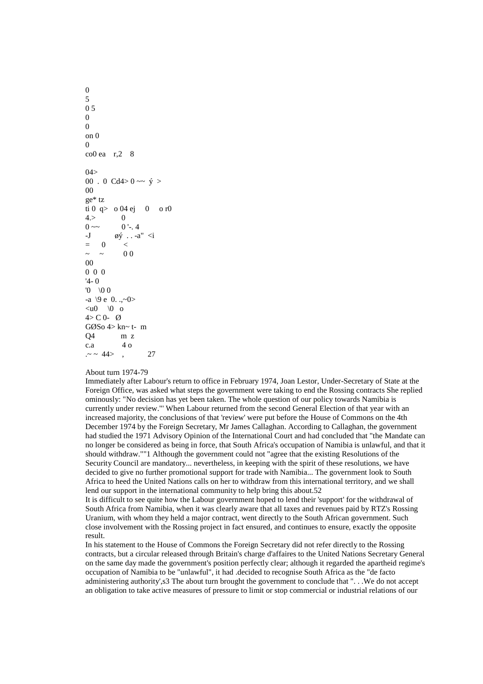0 5 0 5  $\Omega$  $\Omega$ on 0  $\Omega$ co0 ea r,2 8  $04>$ 00 . 0 Cd4> 0 ~~  $\dot{y}$  > 00 ge\* tz ti 0 q> o 04 ej 0 o r0  $4. > 0$  $0 \sim 0$  '-. 4 -J øý . . -a" <i  $= 0$   $<$  $\sim$  ~ 00 00 0 0 0 '4- 0  $'0 \sqrt{0} 0$ -a  $\{9 \in 0, .., \sim 0\}$  $\langle u0 \rangle$  \0 o  $4 > C 0 - Q$ GØSo 4> kn~ t- m Q4 m z c.a 4 o  $. \sim$  44>, 27

### About turn 1974-79

Immediately after Labour's return to office in February 1974, Joan Lestor, Under-Secretary of State at the Foreign Office, was asked what steps the government were taking to end the Rossing contracts She replied ominously: "No decision has yet been taken. The whole question of our policy towards Namibia is currently under review."' When Labour returned from the second General Election of that year with an increased majority, the conclusions of that 'review' were put before the House of Commons on the 4th December 1974 by the Foreign Secretary, Mr James Callaghan. According to Callaghan, the government had studied the 1971 Advisory Opinion of the International Court and had concluded that "the Mandate can no longer be considered as being in force, that South Africa's occupation of Namibia is unlawful, and that it should withdraw.""1 Although the government could not "agree that the existing Resolutions of the Security Council are mandatory... nevertheless, in keeping with the spirit of these resolutions, we have decided to give no further promotional support for trade with Namibia... The government look to South Africa to heed the United Nations calls on her to withdraw from this international territory, and we shall lend our support in the international community to help bring this about.52

It is difficult to see quite how the Labour government hoped to lend their 'support' for the withdrawal of South Africa from Namibia, when it was clearly aware that all taxes and revenues paid by RTZ's Rossing Uranium, with whom they held a major contract, went directly to the South African government. Such close involvement with the Rossing project in fact ensured, and continues to ensure, exactly the opposite result.

In his statement to the House of Commons the Foreign Secretary did not refer directly to the Rossing contracts, but a circular released through Britain's charge d'affaires to the United Nations Secretary General on the same day made the government's position perfectly clear; although it regarded the apartheid regime's occupation of Namibia to be "unlawful", it had .decided to recognise South Africa as the "de facto administering authority', s3 The about turn brought the government to conclude that "... We do not accept an obligation to take active measures of pressure to limit or stop commercial or industrial relations of our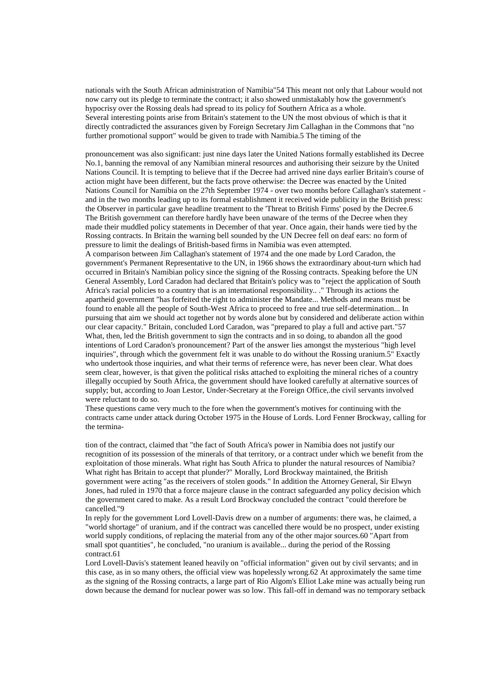nationals with the South African administration of Namibia"54 This meant not only that Labour would not now carry out its pledge to terminate the contract; it also showed unmistakably how the government's hypocrisy over the Rossing deals had spread to its policy fof Southern Africa as a whole. Several interesting points arise from Britain's statement to the UN the most obvious of which is that it directly contradicted the assurances given by Foreign Secretary Jim Callaghan in the Commons that "no further promotional support" would be given to trade with Namibia.5 The timing of the

pronouncement was also significant: just nine days later the United Nations formally established its Decree No.1, banning the removal of any Namibian mineral resources and authorising their seizure by the United Nations Council. It is tempting to believe that if the Decree had arrived nine days earlier Britain's course of action might have been different, but the facts prove otherwise: the Decree was enacted by the United Nations Council for Namibia on the 27th September 1974 - over two months before Callaghan's statement and in the two months leading up to its formal establishment it received wide publicity in the British press: the Observer in particular gave headline treatment to the 'Threat to British Firms' posed by the Decree.6 The British government can therefore hardly have been unaware of the terms of the Decree when they made their muddled policy statements in December of that year. Once again, their hands were tied by the Rossing contracts. In Britain the warning bell sounded by the UN Decree fell on deaf ears: no form of pressure to limit the dealings of British-based firms in Namibia was even attempted.

A comparison between Jim Callaghan's statement of 1974 and the one made by Lord Caradon, the government's Permanent Representative to the UN, in 1966 shows the extraordinary about-turn which had occurred in Britain's Namibian policy since the signing of the Rossing contracts. Speaking before the UN General Assembly, Lord Caradon had declared that Britain's policy was to "reject the application of South Africa's racial policies to a country that is an international responsibility.. ." Through its actions the apartheid government "has forfeited the right to administer the Mandate... Methods and means must be found to enable all the people of South-West Africa to proceed to free and true self-determination... In pursuing that aim we should act together not by words alone but by considered and deliberate action within our clear capacity." Britain, concluded Lord Caradon, was "prepared to play a full and active part."57 What, then, led the British government to sign the contracts and in so doing, to abandon all the good intentions of Lord Caradon's pronouncement? Part of the answer lies amongst the mysterious "high level inquiries", through which the government felt it was unable to do without the Rossing uranium.5" Exactly who undertook those inquiries, and what their terms of reference were, has never been clear. What does seem clear, however, is that given the political risks attached to exploiting the mineral riches of a country illegally occupied by South Africa, the government should have looked carefully at alternative sources of supply; but, according to Joan Lestor, Under-Secretary at the Foreign Office,.the civil servants involved were reluctant to do so.

These questions came very much to the fore when the government's motives for continuing with the contracts came under attack during October 1975 in the House of Lords. Lord Fenner Brockway, calling for the termina-

tion of the contract, claimed that "the fact of South Africa's power in Namibia does not justify our recognition of its possession of the minerals of that territory, or a contract under which we benefit from the exploitation of those minerals. What right has South Africa to plunder the natural resources of Namibia? What right has Britain to accept that plunder?" Morally, Lord Brockway maintained, the British government were acting "as the receivers of stolen goods." In addition the Attorney General, Sir Elwyn Jones, had ruled in 1970 that a force majeure clause in the contract safeguarded any policy decision which the government cared to make. As a result Lord Brockway concluded the contract "could therefore be cancelled."9

In reply for the government Lord Lovell-Davis drew on a number of arguments: there was, he claimed, a "world shortage" of uranium, and if the contract was cancelled there would be no prospect, under existing world supply conditions, of replacing the material from any of the other major sources.60 "Apart from small spot quantities", he concluded, "no uranium is available... during the period of the Rossing contract.61

Lord Lovell-Davis's statement leaned heavily on "official information" given out by civil servants; and in this case, as in so many others, the official view was hopelessly wrong.62 At approximately the same time as the signing of the Rossing contracts, a large part of Rio Algom's Elliot Lake mine was actually being run down because the demand for nuclear power was so low. This fall-off in demand was no temporary setback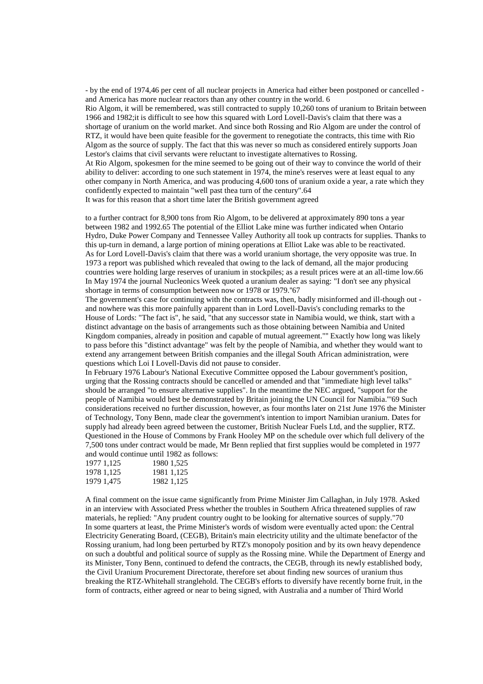- by the end of 1974,46 per cent of all nuclear projects in America had either been postponed or cancelled and America has more nuclear reactors than any other country in the world. 6 Rio Algom, it will be remembered, was still contracted to supply 10,260 tons of uranium to Britain between 1966 and 1982;it is difficult to see how this squared with Lord Lovell-Davis's claim that there was a shortage of uranium on the world market. And since both Rossing and Rio Algom are under the control of RTZ, it would have been quite feasible for the goverment to renegotiate the contracts, this time with Rio Algom as the source of supply. The fact that this was never so much as considered entirely supports Joan Lestor's claims that civil servants were reluctant to investigate alternatives to Rossing. At Rio Algom, spokesmen for the mine seemed to be going out of their way to convince the world of their ability to deliver: according to one such statement in 1974, the mine's reserves were at least equal to any other company in North America, and was producing 4,600 tons of uranium oxide a year, a rate which they confidently expected to maintain "well past thea turn of the century".64

It was for this reason that a short time later the British government agreed

to a further contract for 8,900 tons from Rio Algom, to be delivered at approximately 890 tons a year between 1982 and 1992.65 The potential of the Elliot Lake mine was further indicated when Ontario Hydro, Duke Power Company and Tennessee Valley Authority all took up contracts for supplies. Thanks to this up-turn in demand, a large portion of mining operations at Elliot Lake was able to be reactivated. As for Lord Lovell-Davis's claim that there was a world uranium shortage, the very opposite was true. In 1973 a report was published which revealed that owing to the lack of demand, all the major producing countries were holding large reserves of uranium in stockpiles; as a result prices were at an all-time low.66 In May 1974 the journal Nucleonics Week quoted a uranium dealer as saying: "I don't see any physical shortage in terms of consumption between now or 1978 or 1979.''67

The government's case for continuing with the contracts was, then, badly misinformed and ill-though out and nowhere was this more painfully apparent than in Lord Lovell-Davis's concluding remarks to the House of Lords: "The fact is", he said, "that any successor state in Namibia would, we think, start with a distinct advantage on the basis of arrangements such as those obtaining between Namibia and United Kingdom companies, already in position and capable of mutual agreement."'' Exactly how long was likely to pass before this "distinct advantage" was felt by the people of Namibia, and whether they would want to extend any arrangement between British companies and the illegal South African administration, were questions which Loi I Lovell-Davis did not pause to consider.

In February 1976 Labour's National Executive Committee opposed the Labour government's position, urging that the Rossing contracts should be cancelled or amended and that "immediate high level talks" should be arranged "to ensure alternative supplies". In the meantime the NEC argued, "support for the people of Namibia would best be demonstrated by Britain joining the UN Council for Namibia."'69 Such considerations received no further discussion, however, as four months later on 21st June 1976 the Minister of Technology, Tony Benn, made clear the government's intention to import Namibian uranium. Dates for supply had already been agreed between the customer, British Nuclear Fuels Ltd, and the supplier, RTZ. Questioned in the House of Commons by Frank Hooley MP on the schedule over which full delivery of the 7,500 tons under contract would be made, Mr Benn replied that first supplies would be completed in 1977 and would continue until 1982 as follows:

| 1977 1,125 | 1980 1,525 |
|------------|------------|
| 1978 1,125 | 1981 1,125 |
| 1979 1,475 | 1982 1,125 |

A final comment on the issue came significantly from Prime Minister Jim Callaghan, in July 1978. Asked in an interview with Associated Press whether the troubles in Southern Africa threatened supplies of raw materials, he replied: "Any prudent country ought to be looking for alternative sources of supply."70 In some quarters at least, the Prime Minister's words of wisdom were eventually acted upon: the Central Electricity Generating Board, (CEGB), Britain's main electricity utility and the ultimate benefactor of the Rossing uranium, had long been perturbed by RTZ's monopoly position and by its own heavy dependence on such a doubtful and political source of supply as the Rossing mine. While the Department of Energy and its Minister, Tony Benn, continued to defend the contracts, the CEGB, through its newly established body, the Civil Uranium Procurement Directorate, therefore set about finding new sources of uranium thus breaking the RTZ-Whitehall stranglehold. The CEGB's efforts to diversify have recently borne fruit, in the form of contracts, either agreed or near to being signed, with Australia and a number of Third World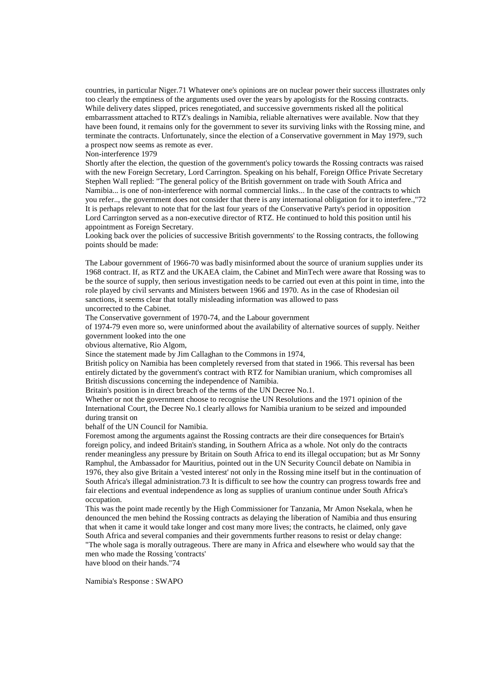countries, in particular Niger.71 Whatever one's opinions are on nuclear power their success illustrates only too clearly the emptiness of the arguments used over the years by apologists for the Rossing contracts. While delivery dates slipped, prices renegotiated, and successive governments risked all the political embarrassment attached to RTZ's dealings in Namibia, reliable alternatives were available. Now that they have been found, it remains only for the government to sever its surviving links with the Rossing mine, and terminate the contracts. Unfortunately, since the election of a Conservative government in May 1979, such a prospect now seems as remote as ever.

Non-interference 1979

Shortly after the election, the question of the government's policy towards the Rossing contracts was raised with the new Foreign Secretary, Lord Carrington. Speaking on his behalf, Foreign Office Private Secretary Stephen Wall replied: "The general policy of the British government on trade with South Africa and Namibia... is one of non-interference with normal commercial links... In the case of the contracts to which you refer.., the government does not consider that there is any international obligation for it to interfere.,"72 It is perhaps relevant to note that for the last four years of the Conservative Party's period in opposition Lord Carrington served as a non-executive director of RTZ. He continued to hold this position until his appointment as Foreign Secretary.

Looking back over the policies of successive British governments' to the Rossing contracts, the following points should be made:

The Labour government of 1966-70 was badly misinformed about the source of uranium supplies under its 1968 contract. If, as RTZ and the UKAEA claim, the Cabinet and MinTech were aware that Rossing was to be the source of supply, then serious investigation needs to be carried out even at this point in time, into the role played by civil servants and Ministers between 1966 and 1970. As in the case of Rhodesian oil sanctions, it seems clear that totally misleading information was allowed to pass uncorrected to the Cabinet.

The Conservative government of 1970-74, and the Labour government

of 1974-79 even more so, were uninformed about the availability of alternative sources of supply. Neither government looked into the one

obvious alternative, Rio Algom,

Since the statement made by Jim Callaghan to the Commons in 1974,

British policy on Namibia has been completely reversed from that stated in 1966. This reversal has been entirely dictated by the government's contract with RTZ for Namibian uranium, which compromises all British discussions concerning the independence of Namibia.

Britain's position is in direct breach of the terms of the UN Decree No.1.

Whether or not the government choose to recognise the UN Resolutions and the 1971 opinion of the International Court, the Decree No.1 clearly allows for Namibia uranium to be seized and impounded during transit on

behalf of the UN Council for Namibia.

Foremost among the arguments against the Rossing contracts are their dire consequences for Brtain's foreign policy, and indeed Britain's standing, in Southern Africa as a whole. Not only do the contracts render meaningless any pressure by Britain on South Africa to end its illegal occupation; but as Mr Sonny Ramphul, the Ambassador for Mauritius, pointed out in the UN Security Council debate on Namibia in 1976, they also give Britain a 'vested interest' not only in the Rossing mine itself but in the continuation of South Africa's illegal administration.73 It is difficult to see how the country can progress towards free and fair elections and eventual independence as long as supplies of uranium continue under South Africa's occupation.

This was the point made recently by the High Commissioner for Tanzania, Mr Amon Nsekala, when he denounced the men behind the Rossing contracts as delaying the liberation of Namibia and thus ensuring that when it came it would take longer and cost many more lives; the contracts, he claimed, only gave South Africa and several companies and their governments further reasons to resist or delay change:

"The whole saga is morally outrageous. There are many in Africa and elsewhere who would say that the men who made the Rossing 'contracts'

have blood on their hands."74

Namibia's Response : SWAPO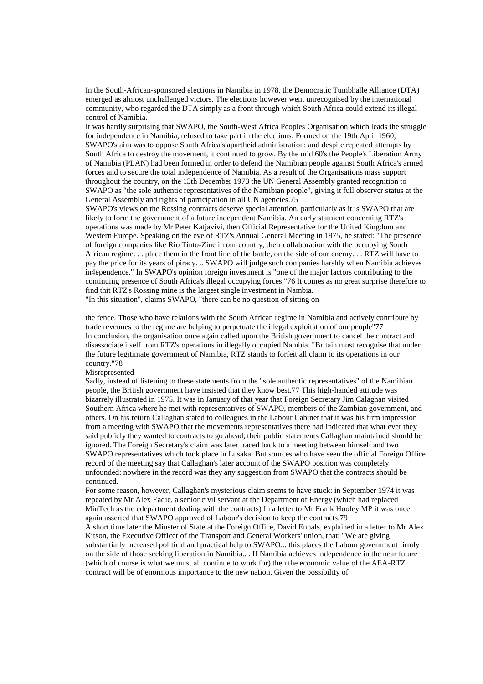In the South-African-sponsored elections in Namibia in 1978, the Democratic Tumbhalle Alliance (DTA) emerged as almost unchallenged victors. The elections however went unrecognised by the international community, who regarded the DTA simply as a front through which South Africa could extend its illegal control of Namibia.

It was hardly surprising that SWAPO, the South-West Africa Peoples Organisation which leads the struggle for independence in Namibia, refused to take part in the elections. Formed on the 19th April 1960, SWAPO's aim was to oppose South Africa's apartheid administration: and despite repeated attempts by South Africa to destroy the movement, it continued to grow. By the mid 60's the People's Liberation Army of Namibia (PLAN) had been formed in order to defend the Namibian people against South Africa's armed forces and to secure the total independence of Namibia. As a result of the Organisations mass support throughout the country, on the 13th December 1973 the UN General Assembly granted recognition to SWAPO as "the sole authentic representatives of the Namibian people", giving it full observer status at the General Assembly and rights of participation in all UN agencies.75

SWAPO's views on the Rossing contracts deserve special attention, particularly as it is SWAPO that are likely to form the government of a future independent Namibia. An early statment concerning RTZ's operations was made by Mr Peter Katjavivi, then Official Representative for the United Kingdom and Western Europe. Speaking on the eve of RTZ's Annual General Meeting in 1975, he stated: "The presence of foreign companies like Rio Tinto-Zinc in our country, their collaboration with the occupying South African regime. . . place them in the front line of the battle, on the side of our enemy. . . RTZ will have to pay the price for its years of piracy. .. SWAPO will judge such companies harshly when Namibia achieves in4ependence." In SWAPO's opinion foreign investment is "one of the major factors contributing to the continuing presence of South Africa's illegal occupying forces."76 It comes as no great surprise therefore to find thit RTZ's Rossing mine is the largest single investment in Nambia. "In this situation", claims SWAPO, "there can be no question of sitting on

the fence. Those who have relations with the South African regime in Namibia and actively contribute by trade revenues to the regime are helping to perpetuate the illegal exploitation of our people"77 In conclusion, the organisation once again called upon the British government to cancel the contract and disassociate itself from RTZ's operations in illegally occupied Nambia. "Britain must recognise that under the future legitimate government of Namibia, RTZ stands to forfeit all claim to its operations in our country."78

Misrepresented

Sadly, instead of listening to these statements from the "sole authentic representatives" of the Namibian people, the British government have insisted that they know best.77 This high-handed attitude was bizarrely illustrated in 1975. It was in January of that year that Foreign Secretary Jim Calaghan visited Southern Africa where he met with representatives of SWAPO, members of the Zambian government, and others. On his return Callaghan stated to colleagues in the Labour Cabinet that it was his firm impression from a meeting with SWAPO that the movements representatives there had indicated that what ever they said publicly they wanted to contracts to go ahead, their public statements Callaghan maintained should be ignored. The Foreign Secretary's claim was later traced back to a meeting between himself and two SWAPO representatives which took place in Lusaka. But sources who have seen the official Foreign Office record of the meeting say that Callaghan's later account of the SWAPO position was completely unfounded: nowhere in the record was they any suggestion from SWAPO that the contracts should be continued.

For some reason, however, Callaghan's mysterious claim seems to have stuck: in September 1974 it was repeated by Mr Alex Eadie, a senior civil servant at the Department of Energy (which had replaced MinTech as the cdepartment dealing with the contracts) In a letter to Mr Frank Hooley MP it was once again asserted that SWAPO approved of Labour's decision to keep the contracts.79

A short time later the Minster of State at the Foreign Office, David Ennals, explained in a letter to Mr Alex Kitson, the Executive Officer of the Transport and General Workers' union, that: "We are giving substantially increased political and practical help to SWAPO... this places the Labour government firmly on the side of those seeking liberation in Namibia.. . If Namibia achieves independence in the near future (which of course is what we must all continue to work for) then the economic value of the AEA-RTZ contract will be of enormous importance to the new nation. Given the possibility of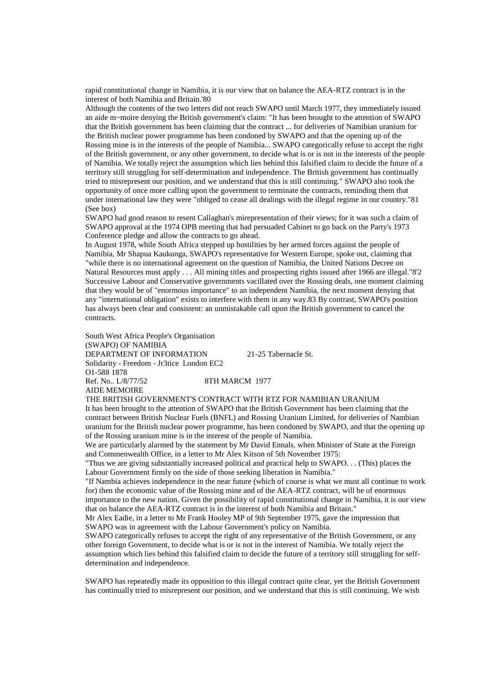rapid constitutional change in Namibia, it is our view that on balance the AEA-RTZ contract is in the interest of both Namibia and Britain.'80

Although the contents of the two letters did not reach SWAPO until March 1977, they immediately issued an aide m~moire denying the British government's claim: "It has been brought to the attention of SWAPO that the British government has been claiming that the contract ... for deliveries of Namibian uranium for the British nuclear power programme has been condoned by SWAPO and that the opening up of the Rossing mine is in the interests of the people of Namibia... SWAPO categorically refuse to accept the right of the British government, or any other government, to decide what is or is not in the interests of the people of Namibia. We totally reject the assumption which lies behind this falsified claim to decide the future of a territory still struggling for self-determination and independence. The British government has continually tried to misrepresent our position, and we understand that this is still continuing." SWAPO also took the opportunity of once more calling upon the government to terminate the contracts, reminding them that under international law they were "obliged to cease all dealings with the illegal regime in our country."81 (See box)

SWAPO had good reason to resent Callaghan's mirepresentation of their views; for it was such a claim of SWAPO approval at the 1974 OPB meeting that had persuaded Cabinet to go back on the Party's 1973 Conference pledge and allow the contracts to go ahead.

In August 1978, while South Africa stepped up hostilities by her armed forces against the people of Namibia, Mr Shapua Kaukunga, SWAPO's representative for Western Europe, spoke out, claiming that "while there is no international agreement on the question of Namibia, the United Nations Decree on Natural Resources must apply . . . All mining titles and prospecting rights issued after 1966 are illegal."8'2 Successive Labour and Conservative governments vacillated over the Rossing deals, one moment claiming that they would be of "enormous importance" to an independent Namibia, the next moment denying that any "international obligation" exists to interfere with them in any way.83 By contrast, SWAPO's position has always been clear and consistent: an unmistakable call upon the British government to cancel the contracts.

South West Africa People's Organisation (SWAPO) OF NAMIBIA DEPARTMENT OF INFORMATION 21-25 Tabernacle St. Solidarity - Freedom - Jr3tice London EC2 O1-588 1878<br>Ref. No. 1/8/77/52 8TH MARCM 1977 AIDE MEMOIRE

THE BRITISH GOVERNMENT'S CONTRACT WITH RTZ FOR NAMIBIAN URANIUM

It has been brought to the attention of SWAPO that the British Government has been claiming that the contract between British Nuclear Fuels (BNFL) and Rossing Uranium Limited, for deliveries of Nambian uranium for the British nuclear power programme, has been condoned by SWAPO, and that the opening up of the Rossing uranium mine is in the interest of the people of Namibia.

We are particularly alarmed by the statement by Mr David Ennals, when Minister of State at the Foreign and Commenwealth Office, in a letter to Mr Alex Kitson of 5th November 1975:

"Thus we are giving substantially increased political and practical help to SWAPO. . . (This) places the Labour Government firmly on the side of those seeking liberation in Namibia."

"If Nambia achieves independence in the near future (which of course is what we must all continue to work for) then the economic value of the Rossing mine and of the AEA-RTZ contract, will be of enormous importance to the new nation. Given the possibility of rapid constitutional change in Namibia, it is our view that on balance the AEA-RTZ contract is in the interest of both Namibia and Britain."

Mr Alex Eadie, in a letter to Mr Frank Hooley MP of 9th September 1975, gave the impression that SWAPO was in agreement with the Labour Government's policy on Namibia.

SWAPO categorically refuses to accept the right of any representative of the British Government, or any other foreign Government, to decide what is or is not in the interest of Namibia. We totally reject the assumption which lies behind this falsified claim to decide the future of a territory still struggling for selfdetermination and independence.

SWAPO has repeatedly made its opposition to this illegal contract quite clear, yet the British Government has continually tried to misrepresent our position, and we understand that this is still continuing. We wish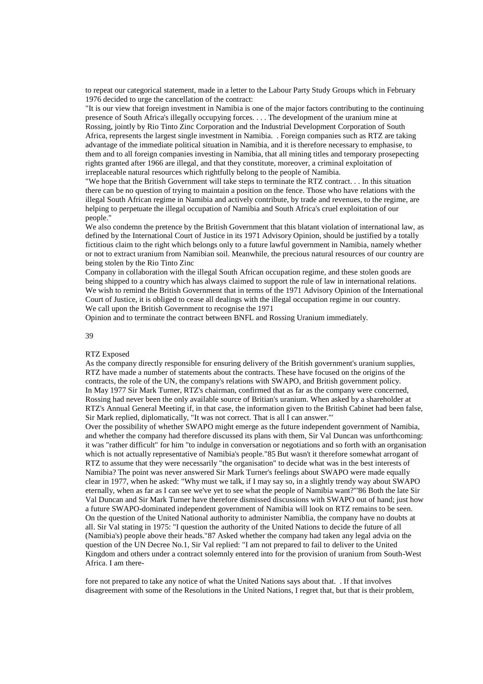to repeat our categorical statement, made in a letter to the Labour Party Study Groups which in February 1976 decided to urge the cancellation of the contract:

"It is our view that foreign investment in Namibia is one of the major factors contributing to the continuing presence of South Africa's illegally occupying forces. . . . The development of the uranium mine at Rossing, jointly by Rio Tinto Zinc Corporation and the Industrial Development Corporation of South Africa, represents the largest single investment in Namibia. . Foreign companies such as RTZ are taking advantage of the immediate political situation in Namibia, and it is therefore necessary to emphasise, to them and to all foreign companies investing in Namibia, that all mining titles and temporary prosepecting rights granted after 1966 are illegal, and that they constitute, moreover, a criminal exploitation of irreplaceable natural resources which rightfully belong to the people of Namibia.

"We hope that the British Government will take steps to terminate the RTZ contract. . . In this situation there can be no question of trying to maintain a position on the fence. Those who have relations with the illegal South African regime in Namibia and actively contribute, by trade and revenues, to the regime, are helping to perpetuate the illegal occupation of Namibia and South Africa's cruel exploitation of our people."

We also condemn the pretence by the British Government that this blatant violation of international law, as defined by the International Court of Justice in its 1971 Advisory Opinion, should be justified by a totally fictitious claim to the right which belongs only to a future lawful government in Namibia, namely whether or not to extract uranium from Namibian soil. Meanwhile, the precious natural resources of our country are being stolen by the Rio Tinto Zinc

Company in collaboration with the illegal South African occupation regime, and these stolen goods are being shipped to a country which has always claimed to support the rule of law in international relations. We wish to remind the British Government that in terms of the 1971 Advisory Opinion of the International Court of Justice, it is obliged to cease all dealings with the illegal occupation regime in our country. We call upon the British Government to recognise the 1971

Opinion and to terminate the contract between BNFL and Rossing Uranium immediately.

### 39

## RTZ Exposed

As the company directly responsible for ensuring delivery of the British government's uranium supplies, RTZ have made a number of statements about the contracts. These have focused on the origins of the contracts, the role of the UN, the company's relations with SWAPO, and British government policy. In May 1977 Sir Mark Turner, RTZ's chairman, confirmed that as far as the company were concerned, Rossing had never been the only available source of Britian's uranium. When asked by a shareholder at RTZ's Annual General Meeting if, in that case, the information given to the British Cabinet had been false, Sir Mark replied, diplomatically, "It was not correct. That is all I can answer."'

Over the possibility of whether SWAPO might emerge as the future independent government of Namibia, and whether the company had therefore discussed its plans with them, Sir Val Duncan was unforthcoming: it was "rather difficult" for him "to indulge in conversation or negotiations and so forth with an organisation which is not actually representative of Namibia's people."85 But wasn't it therefore somewhat arrogant of RTZ to assume that they were necessarily "the organisation" to decide what was in the best interests of Namibia? The point was never answered Sir Mark Turner's feelings about SWAPO were made equally clear in 1977, when he asked: "Why must we talk, if I may say so, in a slightly trendy way about SWAPO eternally, when as far as I can see we've yet to see what the people of Namibia want?"'86 Both the late Sir Val Duncan and Sir Mark Turner have therefore dismissed discussions with SWAPO out of hand; just how a future SWAPO-dominated independent government of Namibia will look on RTZ remains to be seen. On the question of the United National authority to administer Namiblia, the company have no doubts at all. Sir Val stating in 1975: "I question the authority of the United Nations to decide the future of all (Namibia's) people above their heads."87 Asked whether the company had taken any legal advia on the question of the UN Decree No.1, Sir Val replied: "I am not prepared to fail to deliver to the United Kingdom and others under a contract solemnly entered into for the provision of uranium from South-West Africa. I am there-

fore not prepared to take any notice of what the United Nations says about that. . If that involves disagreement with some of the Resolutions in the United Nations, I regret that, but that is their problem,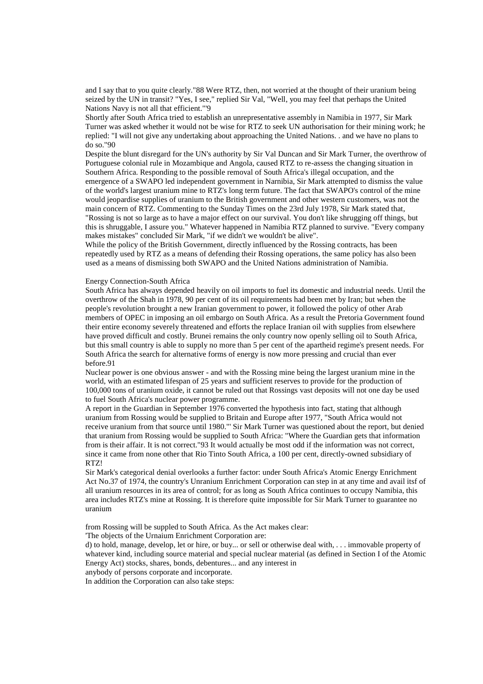and I say that to you quite clearly."88 Were RTZ, then, not worried at the thought of their uranium being seized by the UN in transit? "Yes, I see," replied Sir Val, "Well, you may feel that perhaps the United Nations Navy is not all that efficient."'9

Shortly after South Africa tried to establish an unrepresentative assembly in Namibia in 1977, Sir Mark Turner was asked whether it would not be wise for RTZ to seek UN authorisation for their mining work; he replied: "I will not give any undertaking about approaching the United Nations. . and we have no plans to do so."90

Despite the blunt disregard for the UN's authority by Sir Val Duncan and Sir Mark Turner, the overthrow of Portuguese colonial rule in Mozambique and Angola, caused RTZ to re-assess the changing situation in Southern Africa. Responding to the possible removal of South Africa's illegal occupation, and the emergence of a SWAPO led independent government in Narnibia, Sir Mark attempted to dismiss the value of the world's largest uranium mine to RTZ's long term future. The fact that SWAPO's control of the mine would jeopardise supplies of uranium to the British government and other western customers, was not the main concern of RTZ. Commenting to the Sunday Times on the 23rd July 1978, Sir Mark stated that, "Rossing is not so large as to have a major effect on our survival. You don't like shrugging off things, but this is shruggable, I assure you." Whatever happened in Namibia RTZ planned to survive. "Every company makes mistakes" concluded Sir Mark, "if we didn't we wouldn't be alive".

While the policy of the British Government, directly influenced by the Rossing contracts, has been repeatedly used by RTZ as a means of defending their Rossing operations, the same policy has also been used as a means of dismissing both SWAPO and the United Nations administration of Namibia.

# Energy Connection-South Africa

South Africa has always depended heavily on oil imports to fuel its domestic and industrial needs. Until the overthrow of the Shah in 1978, 90 per cent of its oil requirements had been met by Iran; but when the people's revolution brought a new Iranian government to power, it followed the policy of other Arab members of OPEC in imposing an oil embargo on South Africa. As a result the Pretoria Government found their entire economy severely threatened and efforts the replace Iranian oil with supplies from elsewhere have proved difficult and costly. Brunei remains the only country now openly selling oil to South Africa, but this small country is able to supply no more than 5 per cent of the apartheid regime's present needs. For South Africa the search for alternative forms of energy is now more pressing and crucial than ever before.91

Nuclear power is one obvious answer - and with the Rossing mine being the largest uranium mine in the world, with an estimated lifespan of 25 years and sufficient reserves to provide for the production of 100,000 tons of uranium oxide, it cannot be ruled out that Rossings vast deposits will not one day be used to fuel South Africa's nuclear power programme.

A report in the Guardian in September 1976 converted the hypothesis into fact, stating that although uranium from Rossing would be supplied to Britain and Europe after 1977, "South Africa would not receive uranium from that source until 1980."' Sir Mark Turner was questioned about the report, but denied that uranium from Rossing would be supplied to South Africa: "Where the Guardian gets that information from is their affair. It is not correct."93 It would actually be most odd if the information was not correct, since it came from none other that Rio Tinto South Africa, a 100 per cent, directly-owned subsidiary of RTZ!

Sir Mark's categorical denial overlooks a further factor: under South Africa's Atomic Energy Enrichment Act No.37 of 1974, the country's Unranium Enrichment Corporation can step in at any time and avail itsf of all uranium resources in its area of control; for as long as South Africa continues to occupy Namibia, this area includes RTZ's mine at Rossing. It is therefore quite impossible for Sir Mark Turner to guarantee no uranium

from Rossing will be suppled to South Africa. As the Act makes clear:

'The objects of the Urnaium Enrichment Corporation are:

d) to hold, manage, develop, let or hire, or buy... or sell or otherwise deal with, . . . immovable property of whatever kind, including source material and special nuclear material (as defined in Section I of the Atomic Energy Act) stocks, shares, bonds, debentures... and any interest in

anybody of persons corporate and incorporate.

In addition the Corporation can also take steps: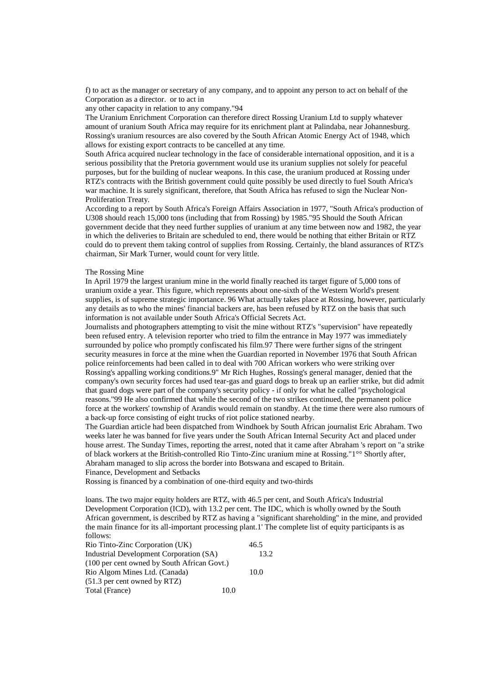f) to act as the manager or secretary of any company, and to appoint any person to act on behalf of the Corporation as a director. or to act in

any other capacity in relation to any company."94

The Uranium Enrichment Corporation can therefore direct Rossing Uranium Ltd to supply whatever amount of uranium South Africa may require for its enrichment plant at Palindaba, near Johannesburg. Rossing's uranium resources are also covered by the South African Atomic Energy Act of 1948, which allows for existing export contracts to be cancelled at any time.

South Africa acquired nuclear technology in the face of considerable international opposition, and it is a serious possibility that the Pretoria government would use its uranium supplies not solely for peaceful purposes, but for the building of nuclear weapons. In this case, the uranium produced at Rossing under RTZ's contracts with the British government could quite possibly be used directly to fuel South Africa's war machine. It is surely significant, therefore, that South Africa has refused to sign the Nuclear Non-Proliferation Treaty.

According to a report by South Africa's Foreign Affairs Association in 1977, "South Africa's production of U308 should reach 15,000 tons (including that from Rossing) by 1985."95 Should the South African government decide that they need further supplies of uranium at any time between now and 1982, the year in which the deliveries to Britain are scheduled to end, there would be nothing that either Britain or RTZ could do to prevent them taking control of supplies from Rossing. Certainly, the bland assurances of RTZ's chairman, Sir Mark Turner, would count for very little.

### The Rossing Mine

In April 1979 the largest uranium mine in the world finally reached its target figure of 5,000 tons of uranium oxide a year. This figure, which represents about one-sixth of the Western World's present supplies, is of supreme strategic importance. 96 What actually takes place at Rossing, however, particularly any details as to who the mines' financial backers are, has been refused by RTZ on the basis that such information is not available under South Africa's Official Secrets Act.

Journalists and photographers attempting to visit the mine without RTZ's "supervision" have repeatedly been refused entry. A television reporter who tried to film the entrance in May 1977 was immediately surrounded by police who promptly confiscated his film.97 There were further signs of the stringent security measures in force at the mine when the Guardian reported in November 1976 that South African police reinforcements had been called in to deal with 700 African workers who were striking over Rossing's appalling working conditions.9" Mr Rich Hughes, Rossing's general manager, denied that the company's own security forces had used tear-gas and guard dogs to break up an earlier strike, but did admit that guard dogs were part of the company's security policy - if only for what he called "psychological reasons."99 He also confirmed that while the second of the two strikes continued, the permanent police force at the workers' township of Arandis would remain on standby. At the time there were also rumours of a back-up force consisting of eight trucks of riot police stationed nearby.

The Guardian article had been dispatched from Windhoek by South African journalist Eric Abraham. Two weeks later he was banned for five years under the South African Internal Security Act and placed under house arrest. The Sunday Times, reporting the arrest, noted that it came after Abraham 's report on "a strike of black workers at the British-controlled Rio Tinto-Zinc uranium mine at Rossing."1°° Shortly after, Abraham managed to slip across the border into Botswana and escaped to Britain. Finance, Development and Setbacks

Rossing is financed by a combination of one-third equity and two-thirds

loans. The two major equity holders are RTZ, with 46.5 per cent, and South Africa's Industrial Development Corporation (ICD), with 13.2 per cent. The IDC, which is wholly owned by the South African government, is described by RTZ as having a "significant shareholding" in the mine, and provided the main finance for its all-important processing plant.1' The complete list of equity participants is as follows:

| Rio Tinto-Zinc Corporation (UK)             | 46.5 |
|---------------------------------------------|------|
| Industrial Development Corporation (SA)     | 13.2 |
| (100 per cent owned by South African Govt.) |      |
| Rio Algom Mines Ltd. (Canada)               | 10.0 |
| $(51.3$ per cent owned by RTZ)              |      |
| Total (France)                              | 10.0 |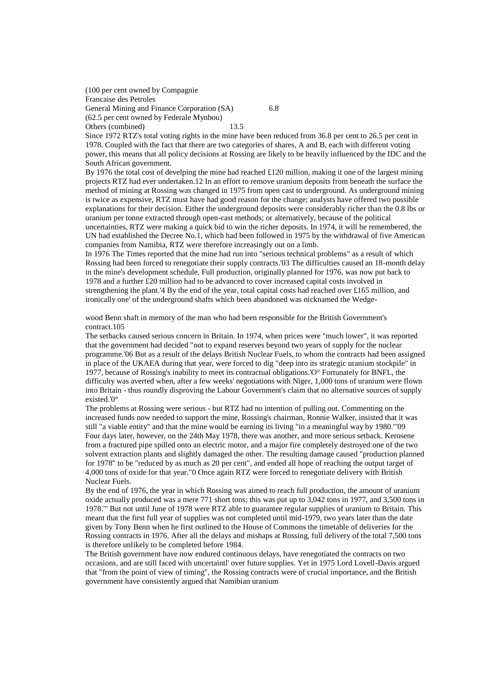(100 per cent owned by Compagnie Francaise des Petroles General Mining and Finance Corporation (SA) 6.8 (62.5 per cent owned by Federale Mynbou) Others (combined) 13.5

Since 1972 RTZ's total voting rights in the mine have been reduced from 36.8 per cent to 26.5 per cent in 1978. Coupled with the fact that there are two categories of shares, A and B, each with different voting power, this means that all policy decisions at Rossing are likely to be heavily influenced by the IDC and the South African government.

By 1976 the total cost of develping the mine had reached £120 million, making it one of the largest mining projects RTZ had ever undertaken.12 In an effort to remove uranium deposits from beneath the surface the method of mining at Rossing was changed in 1975 from open cast to underground. As underground mining is twice as expensive, RTZ must have had good reason for the change; analysts have offered two possible explanations for their decision. Either the underground deposits were considerably richer than the 0.8 lbs or uranium per tonne extracted through open-cast methods; or alternatively, because of the political uncertainties, RTZ were making a quick bid to win the richer deposits. In 1974, it will be remembered, the UN had established the Decree No.1, which had been followed in 1975 by the withdrawal of five American companies from Namibia, RTZ were therefore increasingly out on a limb.

In 1976 The Times reported that the mine had run into "serious technical problems" as a result of which Rossing had been forced to renegotiate their supply contracts.'03 The difficulties caused an 18-month delay in the mine's development schedule. Full production, originally planned for 1976, was now put back to 1978 and a further £20 million had to be advanced to cover increased capital costs involved in strengthening the plant.'4 By the end of the year, total capital costs had reached over £165 million, and ironically one' of the underground shafts which been abandoned was nicknamed the Wedge-

wood Benn shaft in memory of the man who had been responsible for the British Government's contract.105

The setbacks caused serious concern in Britain. In 1974, when prices were "much lower", it was reported that the government had decided "not to expand reserves beyond two years of supply for the nuclear programme.'06 But as a result of the delays British Nuclear Fuels, to whom the contracts had been assigned in place of the UKAEA during that year, were forced to dig "deep into its strategic uranium stockpile" in 1977, because of Rossing's inability to meet its contractual obligations.'O° Fortunately for BNFL, the difficulty was averted when, after a few weeks' negotiations with Niger, 1,000 tons of uranium were flown into Britain - thus roundly disproving the Labour Government's claim that no alternative sources of supply existed.'0°

The problems at Rossing were serious - but RTZ had no intention of pulling out. Commenting on the increased funds now needed to support the mine, Rossing's chairman, Ronnie Walker, insisted that it was still "a viable entity" and that the mine would be earning its living "in a meaningful way by 1980."'09 Four days later, however, on the 24th May 1978, there was another, and more serious setback. Kerosene from a fractured pipe spilled onto an electric motor, and a major fire completely destroyed one of the two solvent extraction plants and slightly damaged the other. The resulting damage caused "production planned for 1978" to be "reduced by as much as 20 per cent", and ended all hope of reaching the output target of 4,000 tons of oxide for that year."0 Once again RTZ were forced to renegotiate delivery with British Nuclear Fuels.

By the end of 1976, the year in which Rossing was aimed to reach full production, the amount of uranium oxide actually produced was a mere 771 short tons; this was put up to 3,042 tons in 1977, and 3,500 tons in 1978."' But not until June of 1978 were RTZ able to guarantee regular supplies of uranium to Britain. This meant that the first full year of supplies was not completed until mid-1979, two years later than the date given by Tony Benn when he first outlined to the House of Commons the timetable of deliveries for the Rossing contracts in 1976. After all the delays and mishaps at Rossing, full delivery of the total 7,500 tons is therefore unlikely to be completed before 1984.

The British government have now endured continuous delays, have renegotiated the contracts on two occasions, and are still faced with uncertaintl' over future supplies. Yet in 1975 Lord Lovell-Davis argued that "from the point of view of timing", the Rossing contracts were of crucial importance, and the British government have consistently argued that Namibian uranium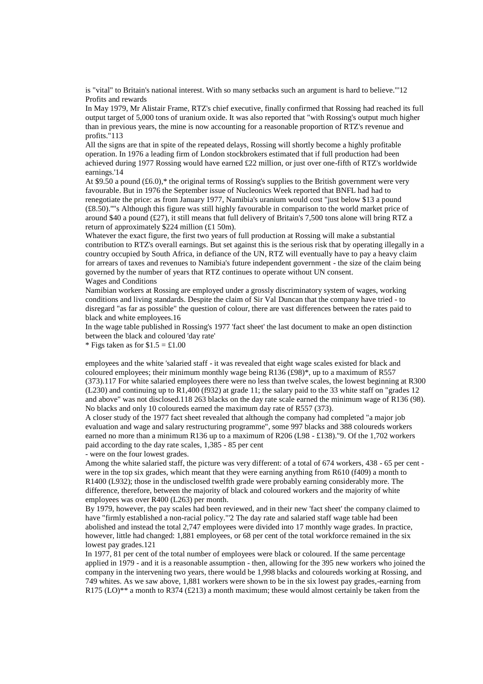is "vital" to Britain's national interest. With so many setbacks such an argument is hard to believe."'12 Profits and rewards

In May 1979, Mr Alistair Frame, RTZ's chief executive, finally confirmed that Rossing had reached its full output target of 5,000 tons of uranium oxide. It was also reported that "with Rossing's output much higher than in previous years, the mine is now accounting for a reasonable proportion of RTZ's revenue and profits."113

All the signs are that in spite of the repeated delays, Rossing will shortly become a highly profitable operation. In 1976 a leading firm of London stockbrokers estimated that if full production had been achieved during 1977 Rossing would have earned £22 million, or just over one-fifth of RTZ's worldwide earnings.'14

At \$9.50 a pound  $(\text{\pounds}6.0)$ ,\* the original terms of Rossing's supplies to the British government were very favourable. But in 1976 the September issue of Nucleonics Week reported that BNFL had had to renegotiate the price: as from January 1977, Namibia's uranium would cost "just below \$13 a pound (£8.50).''"s Although this figure was still highly favourable in comparison to the world market price of around \$40 a pound (£27), it still means that full delivery of Britain's 7,500 tons alone will bring RTZ a return of approximately \$224 million (£1 50m).

Whatever the exact figure, the first two years of full production at Rossing will make a substantial contribution to RTZ's overall earnings. But set against this is the serious risk that by operating illegally in a country occupied by South Africa, in defiance of the UN, RTZ will eventually have to pay a heavy claim for arrears of taxes and revenues to Namibia's future independent government - the size of the claim being governed by the number of years that RTZ continues to operate without UN consent. Wages and Conditions

Namibian workers at Rossing are employed under a grossly discriminatory system of wages, working conditions and living standards. Despite the claim of Sir Val Duncan that the company have tried - to disregard "as far as possible" the question of colour, there are vast differences between the rates paid to black and white employees.16

In the wage table published in Rossing's 1977 'fact sheet' the last document to make an open distinction between the black and coloured 'day rate'

\* Figs taken as for  $$1.5 = £1.00$ 

employees and the white 'salaried staff - it was revealed that eight wage scales existed for black and coloured employees; their minimum monthly wage being R136 (£98)\*, up to a maximum of R557 (373).117 For white salaried employees there were no less than twelve scales, the lowest beginning at R300 (L230) and continuing up to R1,400 (f932) at grade 11; the salary paid to the 33 white staff on "grades 12 and above" was not disclosed.118 263 blacks on the day rate scale earned the minimum wage of R136 (98). No blacks and only 10 coloureds earned the maximum day rate of R557 (373).

A closer study of the 1977 fact sheet revealed that although the company had completed "a major job evaluation and wage and salary restructuring programme", some 997 blacks and 388 coloureds workers earned no more than a minimum R136 up to a maximum of R206 (L98 - £138)."9. Of the 1,702 workers paid according to the day rate scales, 1,385 - 85 per cent

- were on the four lowest grades.

Among the white salaried staff, the picture was very different: of a total of 674 workers, 438 - 65 per cent were in the top six grades, which meant that they were earning anything from R610 (f409) a month to R1400 (L932); those in the undisclosed twelfth grade were probably earning considerably more. The difference, therefore, between the majority of black and coloured workers and the majority of white employees was over R400 (L263) per month.

By 1979, however, the pay scales had been reviewed, and in their new 'fact sheet' the company claimed to have "firmly established a non-racial policy."'2 The day rate and salaried staff wage table had been abolished and instead the total 2,747 employees were divided into 17 monthly wage grades. In practice, however, little had changed: 1,881 employees, or 68 per cent of the total workforce remained in the six lowest pay grades.121

In 1977, 81 per cent of the total number of employees were black or coloured. If the same percentage applied in 1979 - and it is a reasonable assumption - then, allowing for the 395 new workers who joined the company in the intervening two years, there would be 1,998 blacks and coloureds working at Rossing, and 749 whites. As we saw above, 1,881 workers were shown to be in the six lowest pay grades,-earning from R175 (LO)<sup>\*\*</sup> a month to R374 (£213) a month maximum; these would almost certainly be taken from the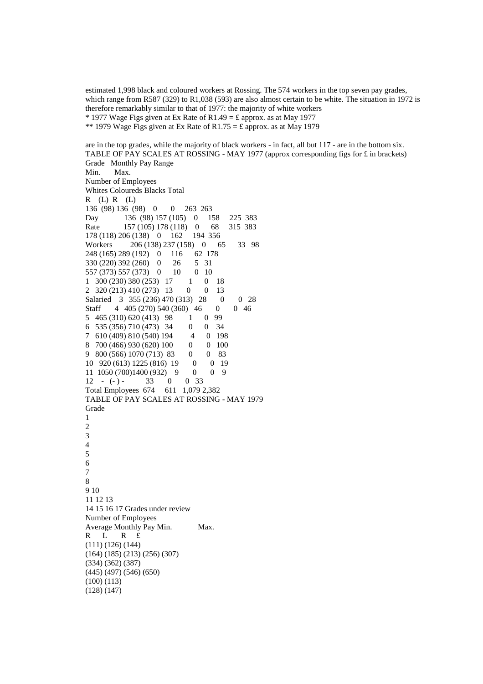estimated 1,998 black and coloured workers at Rossing. The 574 workers in the top seven pay grades, which range from R587 (329) to R1,038 (593) are also almost certain to be white. The situation in 1972 is therefore remarkably similar to that of 1977: the majority of white workers \* 1977 Wage Figs given at Ex Rate of R1.49 = £ approx. as at May 1977 \*\* 1979 Wage Figs given at Ex Rate of R1.75 = £ approx. as at May 1979

are in the top grades, while the majority of black workers - in fact, all but 117 - are in the bottom six. TABLE OF PAY SCALES AT ROSSING - MAY 1977 (approx corresponding figs for £ in brackets) Grade Monthly Pay Range Min. Max. Number of Employees Whites Coloureds Blacks Total R (L) R (L) 136 (98) 136 (98) 0 0 263 263 Day 136 (98) 157 (105) 0 158 225 383 Rate 157 (105) 178 (118) 0 68 315 383<br>178 (118) 206 (138) 0 162 194 356 178 (118) 206 (138) 0 162 Workers 206 (138) 237 (158) 0 65 33 98 248 (165) 289 (192) 0 116 62 178 330 (220) 392 (260) 0 26 5 31 557 (373) 557 (373) 0 10 0 10 1 300 (230) 380 (253) 17 1 0 18 2 320 (213) 410 (273) 13 0 0 13 Salaried 3 355 (236) 470 (313) 28 0 0 28 Staff 4 405 (270) 540 (360) 46 0 0 46 5 465 (310) 620 (413) 98 1 0 99 6 535 (356) 710 (473) 34 0 0 34 7 610 (409) 810 (540) 194 4 0 198 8 700 (466) 930 (620) 100 0 0 100 9 800 (566) 1070 (713) 83 0 0 83 10 920 (613) 1225 (816) 19 0 0 19 11 1050 (700)1400 (932) 9 0 0 9  $12 - (-) - 33 = 0 0 33$ Total Employees 674 611 1,079 2,382 TABLE OF PAY SCALES AT ROSSING - MAY 1979 Grade 1 2 3 4 5 6 7 8 9 10 11 12 13 14 15 16 17 Grades under review Number of Employees Average Monthly Pay Min. Max. R L R £ (111) (126) (144) (164) (185) (213) (256) (307) (334) (362) (387) (445) (497) (546) (650) (100) (113) (128) (147)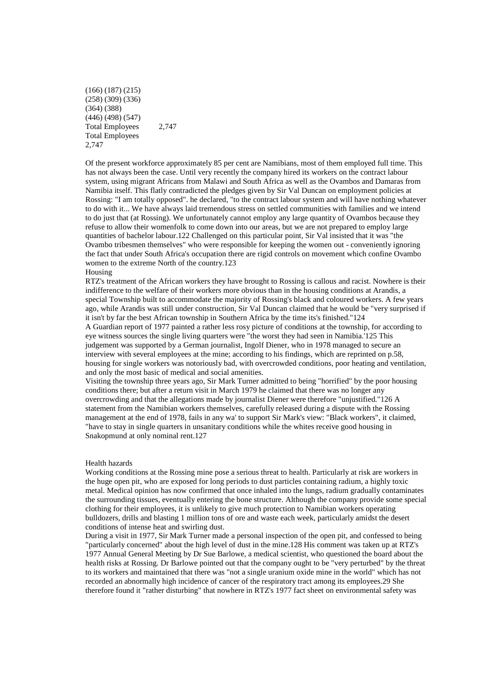(166) (187) (215) (258) (309) (336) (364) (388) (446) (498) (547) Total Employees 2,747 Total Employees 2,747

Of the present workforce approximately 85 per cent are Namibians, most of them employed full time. This has not always been the case. Until very recently the company hired its workers on the contract labour system, using migrant Africans from Malawi and South Africa as well as the Ovambos and Damaras from Namibia itself. This flatly contradicted the pledges given by Sir Val Duncan on employment policies at Rossing: "I am totally opposed". he declared, "to the contract labour system and will have nothing whatever to do with it... We have always laid tremendous stress on settled communities with families and we intend to do just that (at Rossing). We unfortunately cannot employ any large quantity of Ovambos because they refuse to allow their womenfolk to come down into our areas, but we are not prepared to employ large quantities of bachelor labour.122 Challenged on this particular point, Sir Val insisted that it was "the Ovambo tribesmen themselves" who were responsible for keeping the women out - conveniently ignoring the fact that under South Africa's occupation there are rigid controls on movement which confine Ovambo women to the extreme North of the country.123

### Housing

RTZ's treatment of the African workers they have brought to Rossing is callous and racist. Nowhere is their indifference to the welfare of their workers more obvious than in the housing conditions at Arandis, a special Township built to accommodate the majority of Rossing's black and coloured workers. A few years ago, while Arandis was still under construction, Sir Val Duncan claimed that he would be "very surprised if it isn't by far the best African township in Southern Africa by the time its's finished."124 A Guardian report of 1977 painted a rather less rosy picture of conditions at the township, for according to eye witness sources the single living quarters were "the worst they had seen in Namibia.'125 This judgement was supported by a German journalist, Ingolf Diener, who in 1978 managed to secure an interview with several employees at the mine; according to his findings, which are reprinted on p.58, housing for single workers was notoriously bad, with overcrowded conditions, poor heating and ventilation, and only the most basic of medical and social amenities.

Visiting the township three years ago, Sir Mark Turner admitted to being "horrified" by the poor housing conditions there; but after a return visit in March 1979 he claimed that there was no longer any overcrowding and that the allegations made by journalist Diener were therefore "unjustified."126 A statement from the Namibian workers themselves, carefully released during a dispute with the Rossing management at the end of 1978, fails in any wa' to support Sir Mark's view: "Black workers", it claimed, "have to stay in single quarters in unsanitary conditions while the whites receive good housing in Snakopmund at only nominal rent.127

### Health hazards

Working conditions at the Rossing mine pose a serious threat to health. Particularly at risk are workers in the huge open pit, who are exposed for long periods to dust particles containing radium, a highly toxic metal. Medical opinion has now confirmed that once inhaled into the lungs, radium gradually contaminates the surrounding tissues, eventually entering the bone structure. Although the company provide some special clothing for their employees, it is unlikely to give much protection to Namibian workers operating bulldozers, drills and blasting 1 million tons of ore and waste each week, particularly amidst the desert conditions of intense heat and swirling dust.

During a visit in 1977, Sir Mark Turner made a personal inspection of the open pit, and confessed to being "particularly concerned" about the high level of dust in the mine.128 His comment was taken up at RTZ's 1977 Annual General Meeting by Dr Sue Barlowe, a medical scientist, who questioned the board about the health risks at Rossing. Dr Barlowe pointed out that the company ought to be "very perturbed" by the threat to its workers and maintained that there was "not a single uranium oxide mine in the world" which has not recorded an abnormally high incidence of cancer of the respiratory tract among its employees.29 She therefore found it "rather disturbing" that nowhere in RTZ's 1977 fact sheet on environmental safety was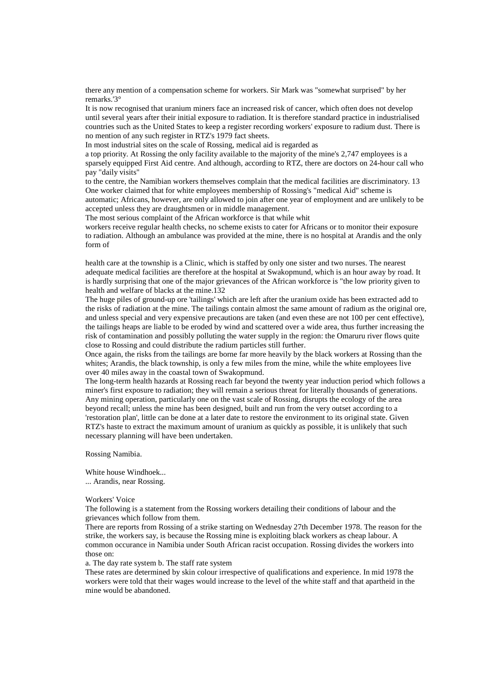there any mention of a compensation scheme for workers. Sir Mark was "somewhat surprised" by her remarks.'3°

It is now recognised that uranium miners face an increased risk of cancer, which often does not develop until several years after their initial exposure to radiation. It is therefore standard practice in industrialised countries such as the United States to keep a register recording workers' exposure to radium dust. There is no mention of any such register in RTZ's 1979 fact sheets.

In most industrial sites on the scale of Rossing, medical aid is regarded as

a top priority. At Rossing the only facility available to the majority of the mine's 2,747 employees is a sparsely equipped First Aid centre. And although, according to RTZ, there are doctors on 24-hour call who pay "daily visits"

to the centre, the Namibian workers themselves complain that the medical facilities are discriminatory. 13 One worker claimed that for white employees membership of Rossing's "medical Aid" scheme is automatic; Africans, however, are only allowed to join after one year of employment and are unlikely to be accepted unless they are draughtsmen or in middle management.

The most serious complaint of the African workforce is that while whit

workers receive regular health checks, no scheme exists to cater for Africans or to monitor their exposure to radiation. Although an ambulance was provided at the mine, there is no hospital at Arandis and the only form of

health care at the township is a Clinic, which is staffed by only one sister and two nurses. The nearest adequate medical facilities are therefore at the hospital at Swakopmund, which is an hour away by road. It is hardly surprising that one of the major grievances of the African workforce is "the low priority given to health and welfare of blacks at the mine.132

The huge piles of ground-up ore 'tailings' which are left after the uranium oxide has been extracted add to the risks of radiation at the mine. The tailings contain almost the same amount of radium as the original ore, and unless special and very expensive precautions are taken (and even these are not 100 per cent effective), the tailings heaps are liable to be eroded by wind and scattered over a wide area, thus further increasing the risk of contamination and possibly polluting the water supply in the region: the Omaruru river flows quite close to Rossing and could distribute the radium particles still further.

Once again, the risks from the tailings are borne far more heavily by the black workers at Rossing than the whites; Arandis, the black township, is only a few miles from the mine, while the white employees live over 40 miles away in the coastal town of Swakopmund.

The long-term health hazards at Rossing reach far beyond the twenty year induction period which follows a miner's first exposure to radiation; they will remain a serious threat for literally thousands of generations. Any mining operation, particularly one on the vast scale of Rossing, disrupts the ecology of the area beyond recall; unless the mine has been designed, built and run from the very outset according to a 'restoration plan', little can be done at a later date to restore the environment to its original state. Given RTZ's haste to extract the maximum amount of uranium as quickly as possible, it is unlikely that such necessary planning will have been undertaken.

Rossing Namibia.

White house Windhoek... ... Arandis, near Rossing.

Workers' Voice

The following is a statement from the Rossing workers detailing their conditions of labour and the grievances which follow from them.

There are reports from Rossing of a strike starting on Wednesday 27th December 1978. The reason for the strike, the workers say, is because the Rossing mine is exploiting black workers as cheap labour. A common occurance in Namibia under South African racist occupation. Rossing divides the workers into those on:

a. The day rate system b. The staff rate system

These rates are determined by skin colour irrespective of qualifications and experience. In mid 1978 the workers were told that their wages would increase to the level of the white staff and that apartheid in the mine would be abandoned.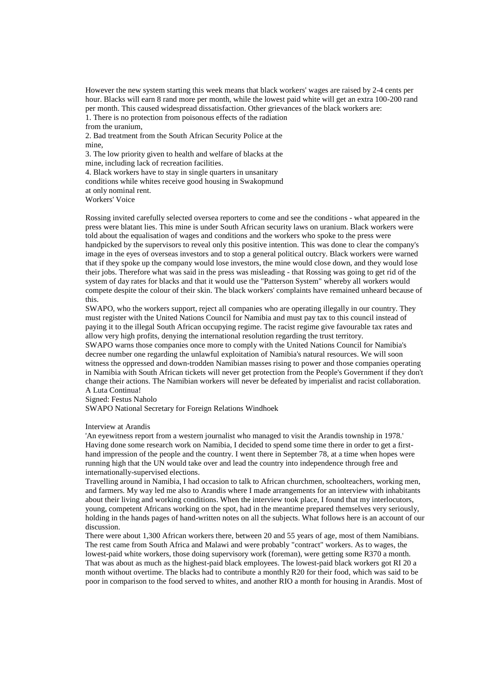However the new system starting this week means that black workers' wages are raised by 2-4 cents per hour. Blacks will earn 8 rand more per month, while the lowest paid white will get an extra 100-200 rand per month. This caused widespread dissatisfaction. Other grievances of the black workers are: 1. There is no protection from poisonous effects of the radiation

from the uranium,

2. Bad treatment from the South African Security Police at the mine,

3. The low priority given to health and welfare of blacks at the mine, including lack of recreation facilities.

4. Black workers have to stay in single quarters in unsanitary

conditions while whites receive good housing in Swakopmund

at only nominal rent.

Workers' Voice

Rossing invited carefully selected oversea reporters to come and see the conditions - what appeared in the press were blatant lies. This mine is under South African security laws on uranium. Black workers were told about the equalisation of wages and conditions and the workers who spoke to the press were handpicked by the supervisors to reveal only this positive intention. This was done to clear the company's image in the eyes of overseas investors and to stop a general political outcry. Black workers were warned that if they spoke up the company would lose investors, the mine would close down, and they would lose their jobs. Therefore what was said in the press was misleading - that Rossing was going to get rid of the system of day rates for blacks and that it would use the "Patterson System" whereby all workers would compete despite the colour of their skin. The black workers' complaints have remained unheard because of this.

SWAPO, who the workers support, reject all companies who are operating illegally in our country. They must register with the United Nations Council for Namibia and must pay tax to this council instead of paying it to the illegal South African occupying regime. The racist regime give favourable tax rates and allow very high profits, denying the international resolution regarding the trust territory.

SWAPO warns those companies once more to comply with the United Nations Council for Namibia's decree number one regarding the unlawful exploitation of Namibia's natural resources. We will soon witness the oppressed and down-trodden Namibian masses rising to power and those companies operating in Namibia with South African tickets will never get protection from the People's Government if they don't change their actions. The Namibian workers will never be defeated by imperialist and racist collaboration. A Luta Continua!

Signed: Festus Naholo

SWAPO National Secretary for Foreign Relations Windhoek

### Interview at Arandis

'An eyewitness report from a western journalist who managed to visit the Arandis township in 1978.' Having done some research work on Namibia, I decided to spend some time there in order to get a firsthand impression of the people and the country. I went there in September 78, at a time when hopes were running high that the UN would take over and lead the country into independence through free and internationally-supervised elections.

Travelling around in Namibia, I had occasion to talk to African churchmen, schoolteachers, working men, and farmers. My way led me also to Arandis where I made arrangements for an interview with inhabitants about their living and working conditions. When the interview took place, I found that my interlocutors, young, competent Africans working on the spot, had in the meantime prepared themselves very seriously, holding in the hands pages of hand-written notes on all the subjects. What follows here is an account of our discussion.

There were about 1,300 African workers there, between 20 and 55 years of age, most of them Namibians. The rest came from South Africa and Malawi and were probably "contract" workers. As to wages, the lowest-paid white workers, those doing supervisory work (foreman), were getting some R370 a month. That was about as much as the highest-paid black employees. The lowest-paid black workers got RI 20 a month without overtime. The blacks had to contribute a monthly R20 for their food, which was said to be poor in comparison to the food served to whites, and another RIO a month for housing in Arandis. Most of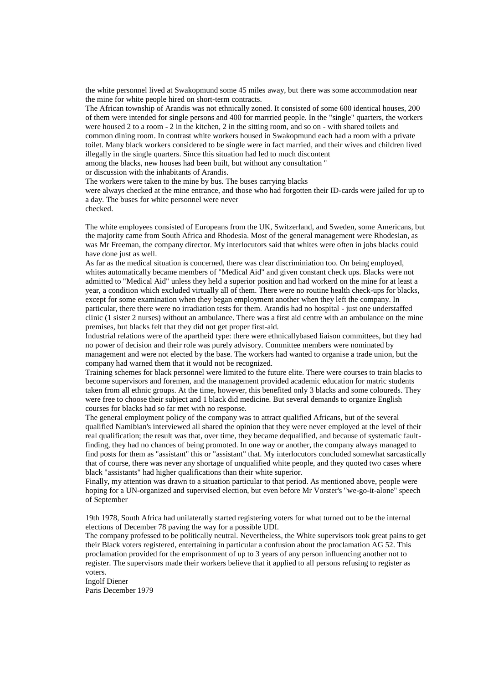the white personnel lived at Swakopmund some 45 miles away, but there was some accommodation near the mine for white people hired on short-term contracts.

The African township of Arandis was not ethnically zoned. It consisted of some 600 identical houses, 200 of them were intended for single persons and 400 for marrried people. In the "single" quarters, the workers were housed 2 to a room - 2 in the kitchen, 2 in the sitting room, and so on - with shared toilets and common dining room. In contrast white workers housed in Swakopmund each had a room with a private toilet. Many black workers considered to be single were in fact married, and their wives and children lived illegally in the single quarters. Since this situation had led to much discontent

among the blacks, new houses had been built, but without any consultation "

or discussion with the inhabitants of Arandis.

The workers were taken to the mine by bus. The buses carrying blacks

were always checked at the mine entrance, and those who had forgotten their ID-cards were jailed for up to a day. The buses for white personnel were never

checked.

The white employees consisted of Europeans from the UK, Switzerland, and Sweden, some Americans, but the majority came from South Africa and Rhodesia. Most of the general management were Rhodesian, as was Mr Freeman, the company director. My interlocutors said that whites were often in jobs blacks could have done just as well.

As far as the medical situation is concerned, there was clear discriminiation too. On being employed, whites automatically became members of "Medical Aid" and given constant check ups. Blacks were not admitted to "Medical Aid" unless they held a superior position and had workerd on the mine for at least a year, a condition which excluded virtually all of them. There were no routine health check-ups for blacks, except for some examination when they began employment another when they left the company. In particular, there there were no irradiation tests for them. Arandis had no hospital - just one understaffed clinic (1 sister 2 nurses) without an ambulance. There was a first aid centre with an ambulance on the mine premises, but blacks felt that they did not get proper first-aid.

Industrial relations were of the apartheid type: there were ethnicallybased liaison committees, but they had no power of decision and their role was purely advisory. Committee members were nominated by management and were not elected by the base. The workers had wanted to organise a trade union, but the company had warned them that it would not be recognized.

Training schemes for black personnel were limited to the future elite. There were courses to train blacks to become supervisors and foremen, and the management provided academic education for matric students taken from all ethnic groups. At the time, however, this benefited only 3 blacks and some coloureds. They were free to choose their subject and 1 black did medicine. But several demands to organize English courses for blacks had so far met with no response.

The general employment policy of the company was to attract qualified Africans, but of the several qualified Namibian's interviewed all shared the opinion that they were never employed at the level of their real qualification; the result was that, over time, they became dequalified, and because of systematic faultfinding, they had no chances of being promoted. In one way or another, the company always managed to find posts for them as "assistant" this or "assistant" that. My interlocutors concluded somewhat sarcastically that of course, there was never any shortage of unqualified white people, and they quoted two cases where black "assistants" had higher qualifications than their white superior.

Finally, my attention was drawn to a situation particular to that period. As mentioned above, people were hoping for a UN-organized and supervised election, but even before Mr Vorster's "we-go-it-alone" speech of September

19th 1978, South Africa had unilaterally started registering voters for what turned out to be the internal elections of December 78 paving the way for a possible UDI.

The company professed to be politically neutral. Nevertheless, the White supervisors took great pains to get their Black voters registered, entertaining in particular a confusion about the proclamation AG 52. This proclamation provided for the emprisonment of up to 3 years of any person influencing another not to register. The supervisors made their workers believe that it applied to all persons refusing to register as voters.

Ingolf Diener Paris December 1979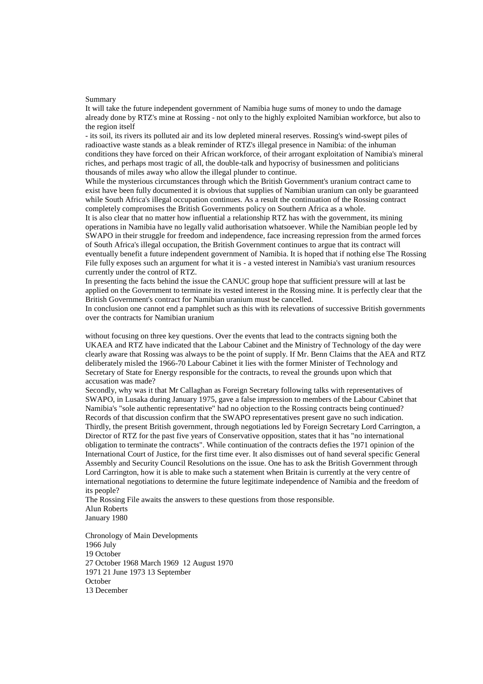#### Summary

It will take the future independent government of Namibia huge sums of money to undo the damage already done by RTZ's mine at Rossing - not only to the highly exploited Namibian workforce, but also to the region itself

- its soil, its rivers its polluted air and its low depleted mineral reserves. Rossing's wind-swept piles of radioactive waste stands as a bleak reminder of RTZ's illegal presence in Namibia: of the inhuman conditions they have forced on their African workforce, of their arrogant exploitation of Namibia's mineral riches, and perhaps most tragic of all, the double-talk and hypocrisy of businessmen and politicians thousands of miles away who allow the illegal plunder to continue.

While the mysterious circumstances through which the British Government's uranium contract came to exist have been fully documented it is obvious that supplies of Namibian uranium can only be guaranteed while South Africa's illegal occupation continues. As a result the continuation of the Rossing contract completely compromises the British Governments policy on Southern Africa as a whole.

It is also clear that no matter how influential a relationship RTZ has with the government, its mining operations in Namibia have no legally valid authorisation whatsoever. While the Namibian people led by SWAPO in their struggle for freedom and independence, face increasing repression from the armed forces of South Africa's illegal occupation, the British Government continues to argue that its contract will eventually benefit a future independent government of Namibia. It is hoped that if nothing else The Rossing File fully exposes such an argument for what it is - a vested interest in Namibia's vast uranium resources currently under the control of RTZ.

In presenting the facts behind the issue the CANUC group hope that sufficient pressure will at last be applied on the Government to terminate its vested interest in the Rossing mine. It is perfectly clear that the British Government's contract for Namibian uranium must be cancelled.

In conclusion one cannot end a pamphlet such as this with its relevations of successive British governments over the contracts for Namibian uranium

without focusing on three key questions. Over the events that lead to the contracts signing both the UKAEA and RTZ have indicated that the Labour Cabinet and the Ministry of Technology of the day were clearly aware that Rossing was always to be the point of supply. If Mr. Benn Claims that the AEA and RTZ deliberately misled the 1966-70 Labour Cabinet it lies with the former Minister of Technology and Secretary of State for Energy responsible for the contracts, to reveal the grounds upon which that accusation was made?

Secondly, why was it that Mr Callaghan as Foreign Secretary following talks with representatives of SWAPO, in Lusaka during January 1975, gave a false impression to members of the Labour Cabinet that Namibia's "sole authentic representative" had no objection to the Rossing contracts being continued? Records of that discussion confirm that the SWAPO representatives present gave no such indication. Thirdly, the present British government, through negotiations led by Foreign Secretary Lord Carrington, a Director of RTZ for the past five years of Conservative opposition, states that it has "no international obligation to terminate the contracts". While continuation of the contracts defies the 1971 opinion of the International Court of Justice, for the first time ever. It also dismisses out of hand several specific General Assembly and Security Council Resolutions on the issue. One has to ask the British Government through Lord Carrington, how it is able to make such a statement when Britain is currently at the very centre of international negotiations to determine the future legitimate independence of Namibia and the freedom of its people?

The Rossing File awaits the answers to these questions from those responsible. Alun Roberts January 1980

Chronology of Main Developments 1966 July 19 October 27 October 1968 March 1969 12 August 1970 1971 21 June 1973 13 September **October** 13 December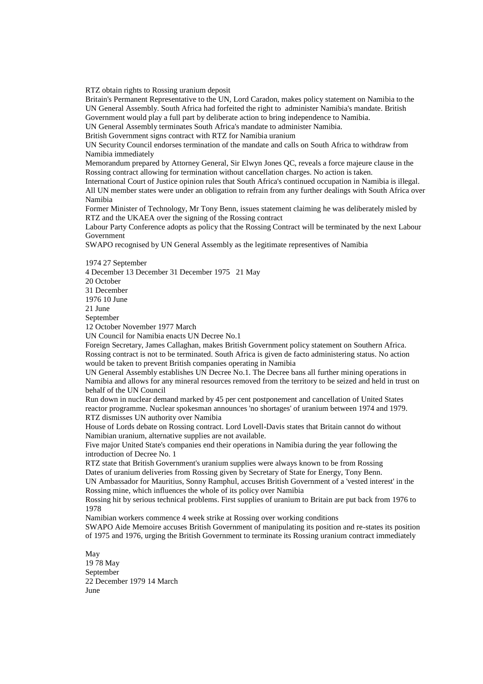RTZ obtain rights to Rossing uranium deposit

Britain's Permanent Representative to the UN, Lord Caradon, makes policy statement on Namibia to the UN General Assembly. South Africa had forfeited the right to administer Namibia's mandate. British Government would play a full part by deliberate action to bring independence to Namibia.

UN General Assembly terminates South Africa's mandate to administer Namibia.

British Government signs contract with RTZ for Namibia uranium

UN Security Council endorses termination of the mandate and calls on South Africa to withdraw from Namibia immediately

Memorandum prepared by Attorney General, Sir Elwyn Jones QC, reveals a force majeure clause in the Rossing contract allowing for termination without cancellation charges. No action is taken.

International Court of Justice opinion rules that South Africa's continued occupation in Namibia is illegal. All UN member states were under an obligation to refrain from any further dealings with South Africa over Namibia

Former Minister of Technology, Mr Tony Benn, issues statement claiming he was deliberately misled by RTZ and the UKAEA over the signing of the Rossing contract

Labour Party Conference adopts as policy that the Rossing Contract will be terminated by the next Labour Government

SWAPO recognised by UN General Assembly as the legitimate representives of Namibia

1974 27 September

4 December 13 December 31 December 1975 21 May

20 October

31 December 1976 10 June

21 June

September

12 October November 1977 March

UN Council for Namibia enacts UN Decree No.1

Foreign Secretary, James Callaghan, makes British Government policy statement on Southern Africa. Rossing contract is not to be terminated. South Africa is given de facto administering status. No action would be taken to prevent British companies operating in Namibia

UN General Assembly establishes UN Decree No.1. The Decree bans all further mining operations in Namibia and allows for any mineral resources removed from the territory to be seized and held in trust on behalf of the UN Council

Run down in nuclear demand marked by 45 per cent postponement and cancellation of United States reactor programme. Nuclear spokesman announces 'no shortages' of uranium between 1974 and 1979. RTZ dismisses UN authority over Namibia

House of Lords debate on Rossing contract. Lord Lovell-Davis states that Britain cannot do without Namibian uranium, alternative supplies are not available.

Five major United State's companies end their operations in Namibia during the year following the introduction of Decree No. 1

RTZ state that British Government's uranium supplies were always known to be from Rossing Dates of uranium deliveries from Rossing given by Secretary of State for Energy, Tony Benn. UN Ambassador for Mauritius, Sonny Ramphul, accuses British Government of a 'vested interest' in the

Rossing mine, which influences the whole of its policy over Namibia

Rossing hit by serious technical problems. First supplies of uranium to Britain are put back from 1976 to 1978

Namibian workers commence 4 week strike at Rossing over working conditions

SWAPO Aide Memoire accuses British Government of manipulating its position and re-states its position of 1975 and 1976, urging the British Government to terminate its Rossing uranium contract immediately

May 19 78 May September 22 December 1979 14 March June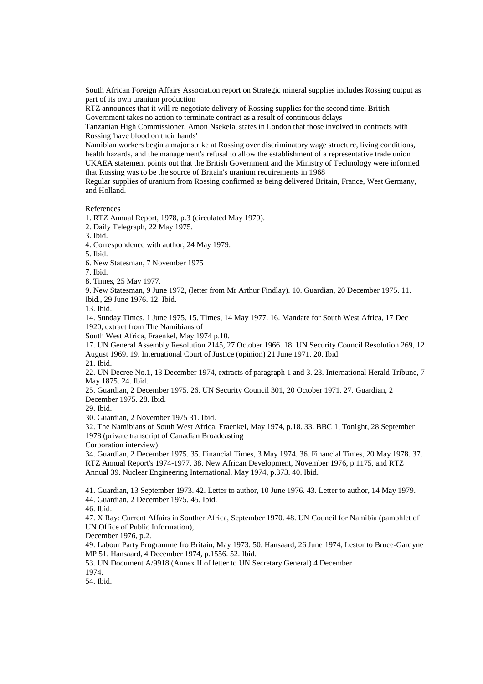South African Foreign Affairs Association report on Strategic mineral supplies includes Rossing output as part of its own uranium production

RTZ announces that it will re-negotiate delivery of Rossing supplies for the second time. British Government takes no action to terminate contract as a result of continuous delays

Tanzanian High Commissioner, Amon Nsekela, states in London that those involved in contracts with Rossing 'have blood on their hands'

Namibian workers begin a major strike at Rossing over discriminatory wage structure, living conditions, health hazards, and the management's refusal to allow the establishment of a representative trade union

UKAEA statement points out that the British Government and the Ministry of Technology were informed that Rossing was to be the source of Britain's uranium requirements in 1968

Regular supplies of uranium from Rossing confirmed as being delivered Britain, France, West Germany, and Holland.

References

1. RTZ Annual Report, 1978, p.3 (circulated May 1979).

2. Daily Telegraph, 22 May 1975.

3. Ibid.

4. Correspondence with author, 24 May 1979.

5. Ibid.

6. New Statesman, 7 November 1975

7. Ibid.

8. Times, 25 May 1977.

9. New Statesman, 9 June 1972, (letter from Mr Arthur Findlay). 10. Guardian, 20 December 1975. 11. Ibid., 29 June 1976. 12. Ibid.

13. Ibid.

14. Sunday Times, 1 June 1975. 15. Times, 14 May 1977. 16. Mandate for South West Africa, 17 Dec 1920, extract from The Namibians of

South West Africa, Fraenkel, May 1974 p.10.

17. UN General Assembly Resolution 2145, 27 October 1966. 18. UN Security Council Resolution 269, 12 August 1969. 19. International Court of Justice (opinion) 21 June 1971. 20. Ibid. 21. Ibid.

22. UN Decree No.1, 13 December 1974, extracts of paragraph 1 and 3. 23. International Herald Tribune, 7 May 1875. 24. Ibid.

25. Guardian, 2 December 1975. 26. UN Security Council 301, 20 October 1971. 27. Guardian, 2 December 1975. 28. Ibid.

29. Ibid.

30. Guardian, 2 November 1975 31. Ibid.

32. The Namibians of South West Africa, Fraenkel, May 1974, p.18. 33. BBC 1, Tonight, 28 September 1978 (private transcript of Canadian Broadcasting

Corporation interview).

34. Guardian, 2 December 1975. 35. Financial Times, 3 May 1974. 36. Financial Times, 20 May 1978. 37. RTZ Annual Report's 1974-1977. 38. New African Development, November 1976, p.1175, and RTZ Annual 39. Nuclear Engineering International, May 1974, p.373. 40. Ibid.

41. Guardian, 13 September 1973. 42. Letter to author, 10 June 1976. 43. Letter to author, 14 May 1979. 44. Guardian, 2 December 1975. 45. Ibid.

46. Ibid.

47. X Ray: Current Affairs in Souther Africa, September 1970. 48. UN Council for Namibia (pamphlet of UN Office of Public Information),

December 1976, p.2.

49. Labour Party Programme fro Britain, May 1973. 50. Hansaard, 26 June 1974, Lestor to Bruce-Gardyne MP 51. Hansaard, 4 December 1974, p.1556. 52. Ibid.

53. UN Document A/9918 (Annex II of letter to UN Secretary General) 4 December

1974.

54. Ibid.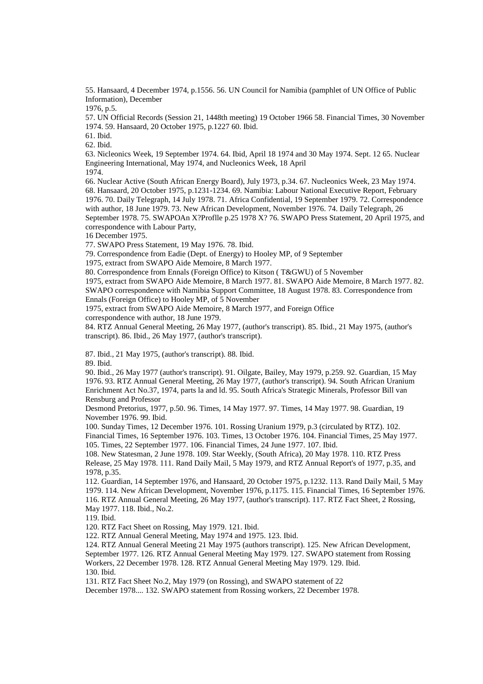55. Hansaard, 4 December 1974, p.1556. 56. UN Council for Namibia (pamphlet of UN Office of Public Information), December

1976, p.5.

57. UN Official Records (Session 21, 1448th meeting) 19 October 1966 58. Financial Times, 30 November 1974. 59. Hansaard, 20 October 1975, p.1227 60. Ibid.

61. Ibid.

62. Ibid.

63. Nicleonics Week, 19 September 1974. 64. Ibid, April 18 1974 and 30 May 1974. Sept. 12 65. Nuclear Engineering International, May 1974, and Nucleonics Week, 18 April 1974.

66. Nuclear Active (South African Energy Board), July 1973, p.34. 67. Nucleonics Week, 23 May 1974. 68. Hansaard, 20 October 1975, p.1231-1234. 69. Namibia: Labour National Executive Report, February 1976. 70. Daily Telegraph, 14 July 1978. 71. Africa Confidential, 19 September 1979. 72. Correspondence with author, 18 June 1979. 73. New African Development, November 1976. 74. Daily Telegraph, 26 September 1978. 75. SWAPOAn X?Proflle p.25 1978 X? 76. SWAPO Press Statement, 20 April 1975, and correspondence with Labour Party,

16 December 1975.

77. SWAPO Press Statement, 19 May 1976. 78. Ibid.

79. Correspondence from Eadie (Dept. of Energy) to Hooley MP, of 9 September

1975, extract from SWAPO Aide Memoire, 8 March 1977.

80. Correspondence from Ennals (Foreign Office) to Kitson ( T&GWU) of 5 November

1975, extract from SWAPO Aide Memoire, 8 March 1977. 81. SWAPO Aide Memoire, 8 March 1977. 82. SWAPO correspondence with Namibia Support Committee, 18 August 1978. 83. Correspondence from Ennals (Foreign Office) to Hooley MP, of 5 November

1975, extract from SWAPO Aide Memoire, 8 March 1977, and Foreign Office correspondence with author, 18 June 1979.

84. RTZ Annual General Meeting, 26 May 1977, (author's transcript). 85. Ibid., 21 May 1975, (author's transcript). 86. Ibid., 26 May 1977, (author's transcript).

87. Ibid., 21 May 1975, (author's transcript). 88. Ibid.

89. Ibid.

90. Ibid., 26 May 1977 (author's transcript). 91. Oilgate, Bailey, May 1979, p.259. 92. Guardian, 15 May 1976. 93. RTZ Annual General Meeting, 26 May 1977, (author's transcript). 94. South African Uranium Enrichment Act No.37, 1974, parts la and ld. 95. South Africa's Strategic Minerals, Professor Bill van Rensburg and Professor

Desmond Pretorius, 1977, p.50. 96. Times, 14 May 1977. 97. Times, 14 May 1977. 98. Guardian, 19 November 1976. 99. Ibid.

100. Sunday Times, 12 December 1976. 101. Rossing Uranium 1979, p.3 (circulated by RTZ). 102. Financial Times, 16 September 1976. 103. Times, 13 October 1976. 104. Financial Times, 25 May 1977. 105. Times, 22 September 1977. 106. Financial Times, 24 June 1977. 107. Ibid.

108. New Statesman, 2 June 1978. 109. Star Weekly, (South Africa), 20 May 1978. 110. RTZ Press Release, 25 May 1978. 111. Rand Daily Mail, 5 May 1979, and RTZ Annual Report's of 1977, p.35, and 1978, p.35.

112. Guardian, 14 September 1976, and Hansaard, 20 October 1975, p.1232. 113. Rand Daily Mail, 5 May 1979. 114. New African Development, November 1976, p.1175. 115. Financial Times, 16 September 1976. 116. RTZ Annual General Meeting, 26 May 1977, (author's transcript). 117. RTZ Fact Sheet, 2 Rossing, May 1977. 118. Ibid., No.2.

119. Ibid.

120. RTZ Fact Sheet on Rossing, May 1979. 121. Ibid.

122. RTZ Annual General Meeting, May 1974 and 1975. 123. Ibid.

124. RTZ Annual General Meeting 21 May 1975 (authors transcript). 125. New African Development, September 1977. 126. RTZ Annual General Meeting May 1979. 127. SWAPO statement from Rossing Workers, 22 December 1978. 128. RTZ Annual General Meeting May 1979. 129. Ibid. 130. Ibid.

131. RTZ Fact Sheet No.2, May 1979 (on Rossing), and SWAPO statement of 22

December 1978.... 132. SWAPO statement from Rossing workers, 22 December 1978.